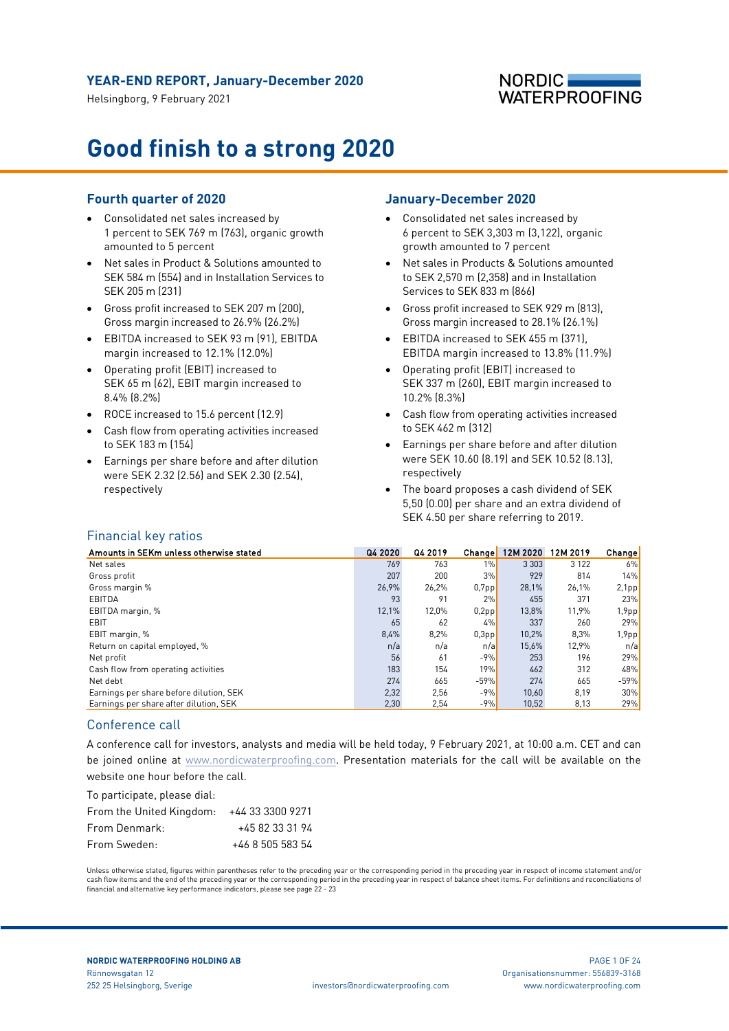Helsingborg, 9 February 2021

## **NORDIC WATERPROOFING**

# **Good finish to a strong 2020**

## **Fourth quarter of 2020**

- Consolidated net sales increased by 1 percent to SEK 769 m (763), organic growth amounted to 5 percent
- Net sales in Product & Solutions amounted to SEK 584 m (554) and in Installation Services to SEK 205 m (231)
- Gross profit increased to SEK 207 m (200), Gross margin increased to 26.9% (26.2%)
- EBITDA increased to SEK 93 m (91), EBITDA margin increased to 12.1% (12.0%)
- Operating profit (EBIT) increased to SEK 65 m (62), EBIT margin increased to 8.4% (8.2%)
- ROCE increased to 15.6 percent (12.9)
- Cash flow from operating activities increased to SEK 183 m (154)
- Earnings per share before and after dilution were SEK 2.32 (2.56) and SEK 2.30 (2.54), respectively

## **January-December 2020**

- Consolidated net sales increased by 6 percent to SEK 3,303 m (3,122), organic growth amounted to 7 percent
- Net sales in Products & Solutions amounted to SEK 2,570 m (2,358) and in Installation Services to SEK 833 m (866)
- Gross profit increased to SEK 929 m (813), Gross margin increased to 28.1% (26.1%)
- EBITDA increased to SEK 455 m (371), EBITDA margin increased to 13.8% (11.9%)
- Operating profit (EBIT) increased to SEK 337 m (260), EBIT margin increased to 10.2% (8.3%)
- Cash flow from operating activities increased to SEK 462 m (312)
- Earnings per share before and after dilution were SEK 10.60 (8.19) and SEK 10.52 (8.13), respectively
- The board proposes a cash dividend of SEK 5,50 (0.00) per share and an extra dividend of SEK 4.50 per share referring to 2019.

## Financial key ratios

| Amounts in SEKm unless otherwise stated | Q4 2020 | Q4 2019 | <b>Change</b> | 12M 2020 | 12M 2019 | Change!  |
|-----------------------------------------|---------|---------|---------------|----------|----------|----------|
| Net sales                               | 769     | 763     | 1%            | 3 3 0 3  | 3 1 2 2  | 6%       |
| Gross profit                            | 207     | 200     | 3%            | 929      | 814      | 14%      |
| Gross margin %                          | 26.9%   | 26,2%   | $0,7$ pp      | 28,1%    | 26.1%    | 2,1pp    |
| EBITDA                                  | 93      | 91      | 2%            | 455      | 371      | 23%      |
| EBITDA margin, %                        | 12,1%   | 12,0%   | 0,2pp         | 13,8%    | 11,9%    | 1,9pp    |
| EBIT                                    | 65      | 62      | 4%            | 337      | 260      | 29%      |
| EBIT margin, %                          | 8,4%    | 8,2%    | $0,3$ pp      | 10,2%    | 8,3%     | $1,9$ pp |
| Return on capital employed, %           | n/a     | n/a     | n/a           | 15.6%    | 12,9%    | n/a      |
| Net profit                              | 56      | 61      | $-9%$         | 253      | 196      | 29%      |
| Cash flow from operating activities     | 183     | 154     | 19%           | 462      | 312      | 48%      |
| Net debt                                | 274     | 665     | $-59%$        | 274      | 665      | $-59%$   |
| Earnings per share before dilution, SEK | 2,32    | 2,56    | $-9%$         | 10,60    | 8,19     | 30%      |
| Earnings per share after dilution, SEK  | 2,30    | 2,54    | $-9%$         | 10,52    | 8,13     | 29%      |

### Conference call

A conference call for investors, analysts and media will be held today, 9 February 2021, at 10:00 a.m. CET and can be joined online at [www.nordicwaterproofing.com.](https://tv.streamfabriken.com/nordic-waterproofing-q1-2020) Presentation materials for the call will be available on the website one hour before the call.

To participate, please dial:

| From the United Kingdom: $+443333009271$ |                  |
|------------------------------------------|------------------|
| From Denmark:                            | +45 82 33 31 94  |
| From Sweden:                             | +46 8 505 583 54 |

Unless otherwise stated, figures within parentheses refer to the preceding year or the corresponding period in the preceding year in respect of income statement and/or cash flow items and the end of the preceding year or the corresponding period in the preceding year in respect of balance sheet items. For definitions and reconciliations of financial and alternative key performance indicators, please see page 22 - 23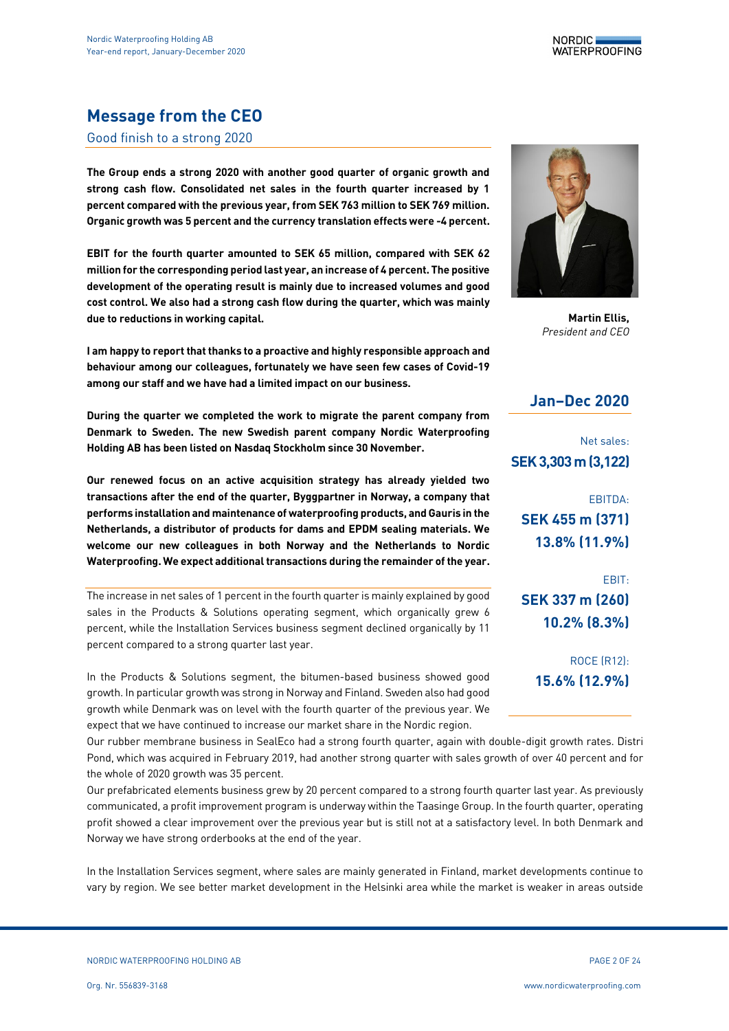

# **Message from the CEO**

#### Good finish to a strong 2020

**The Group ends a strong 2020 with another good quarter of organic growth and strong cash flow. Consolidated net sales in the fourth quarter increased by 1 percent compared with the previous year, from SEK 763 million to SEK 769 million. Organic growth was 5 percent and the currency translation effects were -4 percent.**

**EBIT for the fourth quarter amounted to SEK 65 million, compared with SEK 62 million for the corresponding period last year, an increase of 4 percent. The positive development of the operating result is mainly due to increased volumes and good cost control. We also had a strong cash flow during the quarter, which was mainly due to reductions in working capital.**

**I am happy to report that thanks to a proactive and highly responsible approach and behaviour among our colleagues, fortunately we have seen few cases of Covid-19 among our staff and we have had a limited impact on our business.**

**During the quarter we completed the work to migrate the parent company from Denmark to Sweden. The new Swedish parent company Nordic Waterproofing Holding AB has been listed on Nasdaq Stockholm since 30 November.**

**Our renewed focus on an active acquisition strategy has already yielded two transactions after the end of the quarter, Byggpartner in Norway, a company that performs installation and maintenance of waterproofing products, and Gauris in the Netherlands, a distributor of products for dams and EPDM sealing materials. We welcome our new colleagues in both Norway and the Netherlands to Nordic Waterproofing. We expect additional transactions during the remainder of the year.**

The increase in net sales of 1 percent in the fourth quarter is mainly explained by good sales in the Products & Solutions operating segment, which organically grew 6 percent, while the Installation Services business segment declined organically by 11 percent compared to a strong quarter last year.

In the Products & Solutions segment, the bitumen-based business showed good growth. In particular growth was strong in Norway and Finland. Sweden also had good growth while Denmark was on level with the fourth quarter of the previous year. We expect that we have continued to increase our market share in the Nordic region.

Our rubber membrane business in SealEco had a strong fourth quarter, again with double-digit growth rates. Distri Pond, which was acquired in February 2019, had another strong quarter with sales growth of over 40 percent and for the whole of 2020 growth was 35 percent.

Our prefabricated elements business grew by 20 percent compared to a strong fourth quarter last year. As previously communicated, a profit improvement program is underway within the Taasinge Group. In the fourth quarter, operating profit showed a clear improvement over the previous year but is still not at a satisfactory level. In both Denmark and Norway we have strong orderbooks at the end of the year.

In the Installation Services segment, where sales are mainly generated in Finland, market developments continue to vary by region. We see better market development in the Helsinki area while the market is weaker in areas outside



**Martin Ellis,** *President and CEO*

## **Jan–Dec 2020**

Net sales: **SEK 3,303m (3,122)**

EBITDA: **SEK 455 m (371) 13.8% (11.9%)**

EBIT: **SEK 337 m (260) 10.2% (8.3%)**

> ROCE (R12): **15.6% (12.9%)**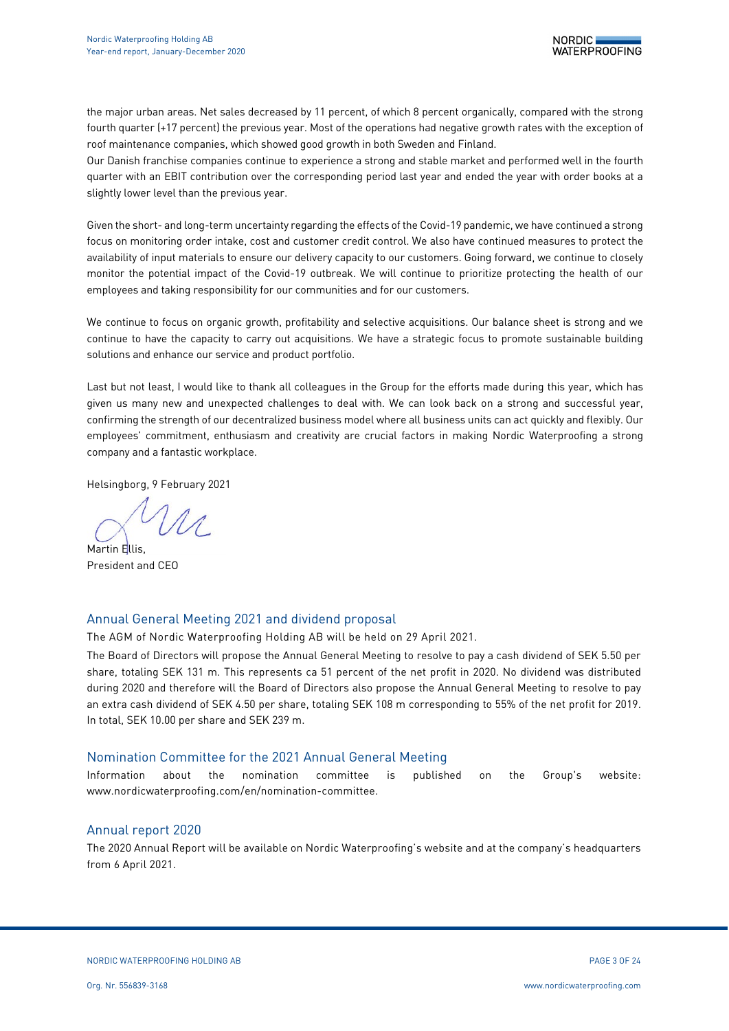the major urban areas. Net sales decreased by 11 percent, of which 8 percent organically, compared with the strong fourth quarter (+17 percent) the previous year. Most of the operations had negative growth rates with the exception of roof maintenance companies, which showed good growth in both Sweden and Finland.

Our Danish franchise companies continue to experience a strong and stable market and performed well in the fourth quarter with an EBIT contribution over the corresponding period last year and ended the year with order books at a slightly lower level than the previous year.

Given the short- and long-term uncertainty regarding the effects of the Covid-19 pandemic, we have continued a strong focus on monitoring order intake, cost and customer credit control. We also have continued measures to protect the availability of input materials to ensure our delivery capacity to our customers. Going forward, we continue to closely monitor the potential impact of the Covid-19 outbreak. We will continue to prioritize protecting the health of our employees and taking responsibility for our communities and for our customers.

We continue to focus on organic growth, profitability and selective acquisitions. Our balance sheet is strong and we continue to have the capacity to carry out acquisitions. We have a strategic focus to promote sustainable building solutions and enhance our service and product portfolio.

Last but not least, I would like to thank all colleagues in the Group for the efforts made during this year, which has given us many new and unexpected challenges to deal with. We can look back on a strong and successful year, confirming the strength of our decentralized business model where all business units can act quickly and flexibly. Our employees' commitment, enthusiasm and creativity are crucial factors in making Nordic Waterproofing a strong company and a fantastic workplace.

Helsingborg, 9 February 2021

Martin Filis President and CEO

## Annual General Meeting 2021 and dividend proposal

The AGM of Nordic Waterproofing Holding AB will be held on 29 April 2021.

The Board of Directors will propose the Annual General Meeting to resolve to pay a cash dividend of SEK 5.50 per share, totaling SEK 131 m. This represents ca 51 percent of the net profit in 2020. No dividend was distributed during 2020 and therefore will the Board of Directors also propose the Annual General Meeting to resolve to pay an extra cash dividend of SEK 4.50 per share, totaling SEK 108 m corresponding to 55% of the net profit for 2019. In total, SEK 10.00 per share and SEK 239 m.

### Nomination Committee for the 2021 Annual General Meeting

Information about the nomination committee is published on the Group's website: www.nordicwaterproofing.com/en/nomination-committee.

## Annual report 2020

The 2020 Annual Report will be available on Nordic Waterproofing's website and at the company's headquarters from 6 April 2021.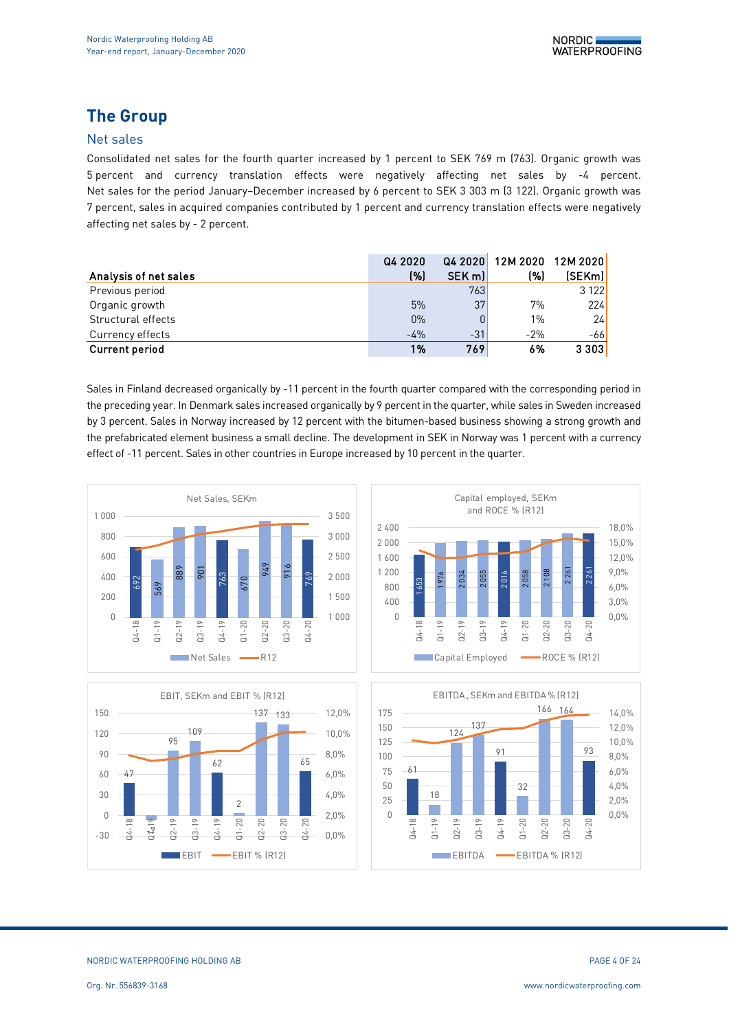# **The Group**

## Net sales

Consolidated net sales for the fourth quarter increased by 1 percent to SEK 769 m (763). Organic growth was 5 percent and currency translation effects were negatively affecting net sales by -4 percent. Net sales for the period January–December increased by 6 percent to SEK 3 303 m (3 122). Organic growth was 7 percent, sales in acquired companies contributed by 1 percent and currency translation effects were negatively affecting net sales by - 2 percent.

|                       | Q4 2020 | Q4 2020 | 12M 2020 12M 2020 |                  |
|-----------------------|---------|---------|-------------------|------------------|
| Analysis of net sales | (%)     | SEK m   | (%)               | (SEKm)           |
| Previous period       |         | 763     |                   | 3 1 2 2 <b>1</b> |
| Organic growth        | 5%      | 37      | 7%                | 224              |
| Structural effects    | $0\%$   | 0       | $1\%$             | 24               |
| Currency effects      | $-4%$   | $-31$   | $-2%$             | -661             |
| <b>Current period</b> | 1%      | 769     | 6%                | 3303             |

Sales in Finland decreased organically by -11 percent in the fourth quarter compared with the corresponding period in the preceding year. In Denmark sales increased organically by 9 percent in the quarter, while sales in Sweden increased by 3 percent. Sales in Norway increased by 12 percent with the bitumen-based business showing a strong growth and the prefabricated element business a small decline. The development in SEK in Norway was 1 percent with a currency effect of -11 percent. Sales in other countries in Europe increased by 10 percent in the quarter.







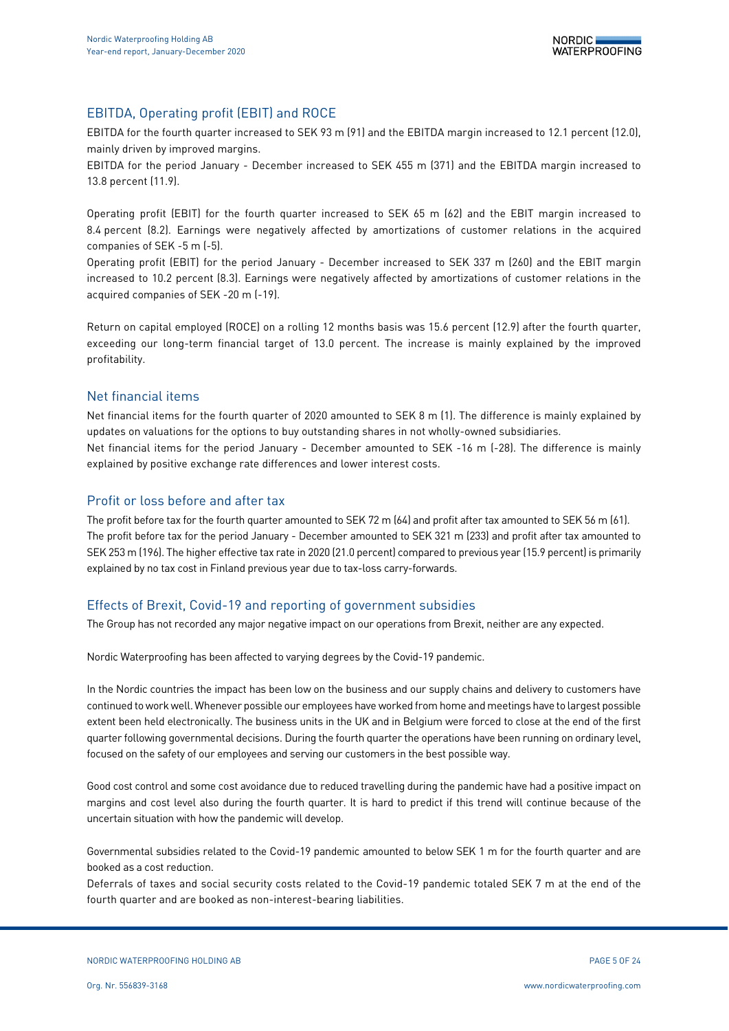## EBITDA, Operating profit (EBIT) and ROCE

EBITDA for the fourth quarter increased to SEK 93 m (91) and the EBITDA margin increased to 12.1 percent (12.0), mainly driven by improved margins.

EBITDA for the period January - December increased to SEK 455 m (371) and the EBITDA margin increased to 13.8 percent (11.9).

Operating profit (EBIT) for the fourth quarter increased to SEK 65 m (62) and the EBIT margin increased to 8.4 percent (8.2). Earnings were negatively affected by amortizations of customer relations in the acquired companies of SEK -5 m (-5).

Operating profit (EBIT) for the period January - December increased to SEK 337 m (260) and the EBIT margin increased to 10.2 percent (8.3). Earnings were negatively affected by amortizations of customer relations in the acquired companies of SEK -20 m (-19).

Return on capital employed (ROCE) on a rolling 12 months basis was 15.6 percent (12.9) after the fourth quarter, exceeding our long-term financial target of 13.0 percent. The increase is mainly explained by the improved profitability.

## Net financial items

Net financial items for the fourth quarter of 2020 amounted to SEK 8 m (1). The difference is mainly explained by updates on valuations for the options to buy outstanding shares in not wholly-owned subsidiaries. Net financial items for the period January - December amounted to SEK -16 m (-28). The difference is mainly explained by positive exchange rate differences and lower interest costs.

### Profit or loss before and after tax

The profit before tax for the fourth quarter amounted to SEK 72 m (64) and profit after tax amounted to SEK 56 m (61). The profit before tax for the period January - December amounted to SEK 321 m (233) and profit after tax amounted to SEK 253 m (196). The higher effective tax rate in 2020 (21.0 percent) compared to previous year (15.9 percent) is primarily explained by no tax cost in Finland previous year due to tax-loss carry-forwards.

## Effects of Brexit, Covid-19 and reporting of government subsidies

The Group has not recorded any major negative impact on our operations from Brexit, neither are any expected.

Nordic Waterproofing has been affected to varying degrees by the Covid-19 pandemic.

In the Nordic countries the impact has been low on the business and our supply chains and delivery to customers have continued to work well. Whenever possible our employees have worked from home and meetings have to largest possible extent been held electronically. The business units in the UK and in Belgium were forced to close at the end of the first quarter following governmental decisions. During the fourth quarter the operations have been running on ordinary level, focused on the safety of our employees and serving our customers in the best possible way.

Good cost control and some cost avoidance due to reduced travelling during the pandemic have had a positive impact on margins and cost level also during the fourth quarter. It is hard to predict if this trend will continue because of the uncertain situation with how the pandemic will develop.

Governmental subsidies related to the Covid-19 pandemic amounted to below SEK 1 m for the fourth quarter and are booked as a cost reduction.

Deferrals of taxes and social security costs related to the Covid-19 pandemic totaled SEK 7 m at the end of the fourth quarter and are booked as non-interest-bearing liabilities.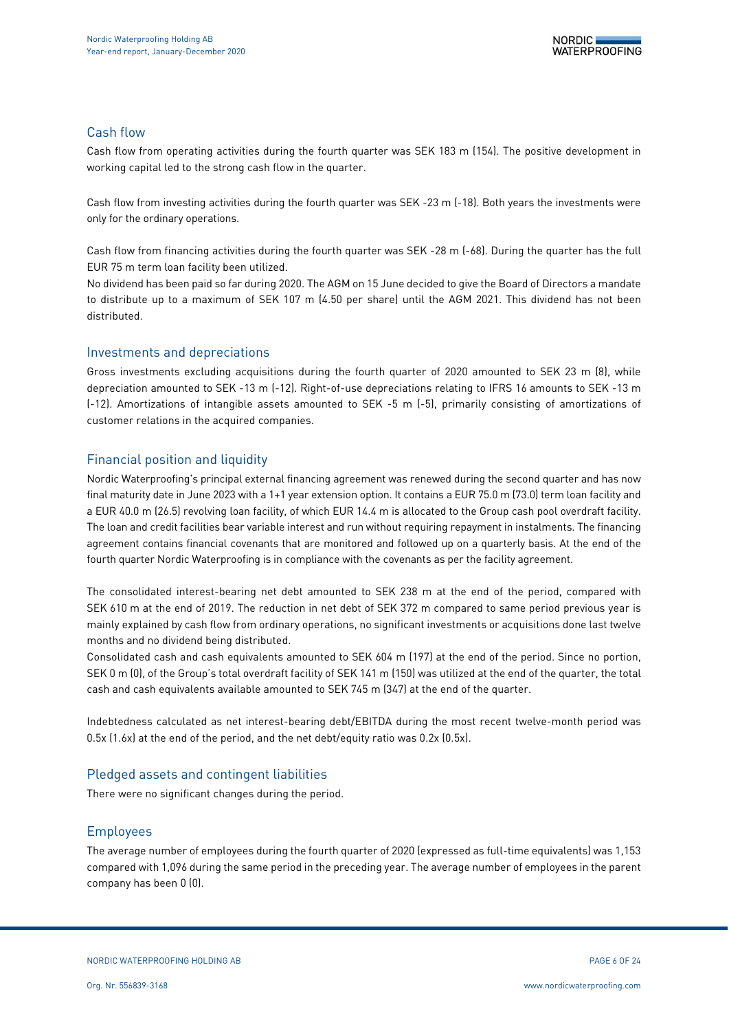## Cash flow

Cash flow from operating activities during the fourth quarter was SEK 183 m (154). The positive development in working capital led to the strong cash flow in the quarter.

Cash flow from investing activities during the fourth quarter was SEK -23 m (-18). Both years the investments were only for the ordinary operations.

Cash flow from financing activities during the fourth quarter was SEK -28 m (-68). During the quarter has the full EUR 75 m term loan facility been utilized.

No dividend has been paid so far during 2020. The AGM on 15 June decided to give the Board of Directors a mandate to distribute up to a maximum of SEK 107 m (4.50 per share) until the AGM 2021. This dividend has not been distributed.

### Investments and depreciations

Gross investments excluding acquisitions during the fourth quarter of 2020 amounted to SEK 23 m (8), while depreciation amounted to SEK -13 m (-12). Right-of-use depreciations relating to IFRS 16 amounts to SEK -13 m (-12). Amortizations of intangible assets amounted to SEK -5 m (-5), primarily consisting of amortizations of customer relations in the acquired companies.

## Financial position and liquidity

Nordic Waterproofing's principal external financing agreement was renewed during the second quarter and has now final maturity date in June 2023 with a 1+1 year extension option. It contains a EUR 75.0 m (73.0) term loan facility and a EUR 40.0 m (26.5) revolving loan facility, of which EUR 14.4 m is allocated to the Group cash pool overdraft facility. The loan and credit facilities bear variable interest and run without requiring repayment in instalments. The financing agreement contains financial covenants that are monitored and followed up on a quarterly basis. At the end of the fourth quarter Nordic Waterproofing is in compliance with the covenants as per the facility agreement.

The consolidated interest-bearing net debt amounted to SEK 238 m at the end of the period, compared with SEK 610 m at the end of 2019. The reduction in net debt of SEK 372 m compared to same period previous year is mainly explained by cash flow from ordinary operations, no significant investments or acquisitions done last twelve months and no dividend being distributed.

Consolidated cash and cash equivalents amounted to SEK 604 m (197) at the end of the period. Since no portion, SEK 0 m (0), of the Group's total overdraft facility of SEK 141 m (150) was utilized at the end of the quarter, the total cash and cash equivalents available amounted to SEK 745 m (347) at the end of the quarter.

Indebtedness calculated as net interest-bearing debt/EBITDA during the most recent twelve-month period was 0.5x (1.6x) at the end of the period, and the net debt/equity ratio was 0.2x (0.5x).

## Pledged assets and contingent liabilities

There were no significant changes during the period.

## Employees

The average number of employees during the fourth quarter of 2020 (expressed as full-time equivalents) was 1,153 compared with 1,096 during the same period in the preceding year. The average number of employees in the parent company has been 0 (0).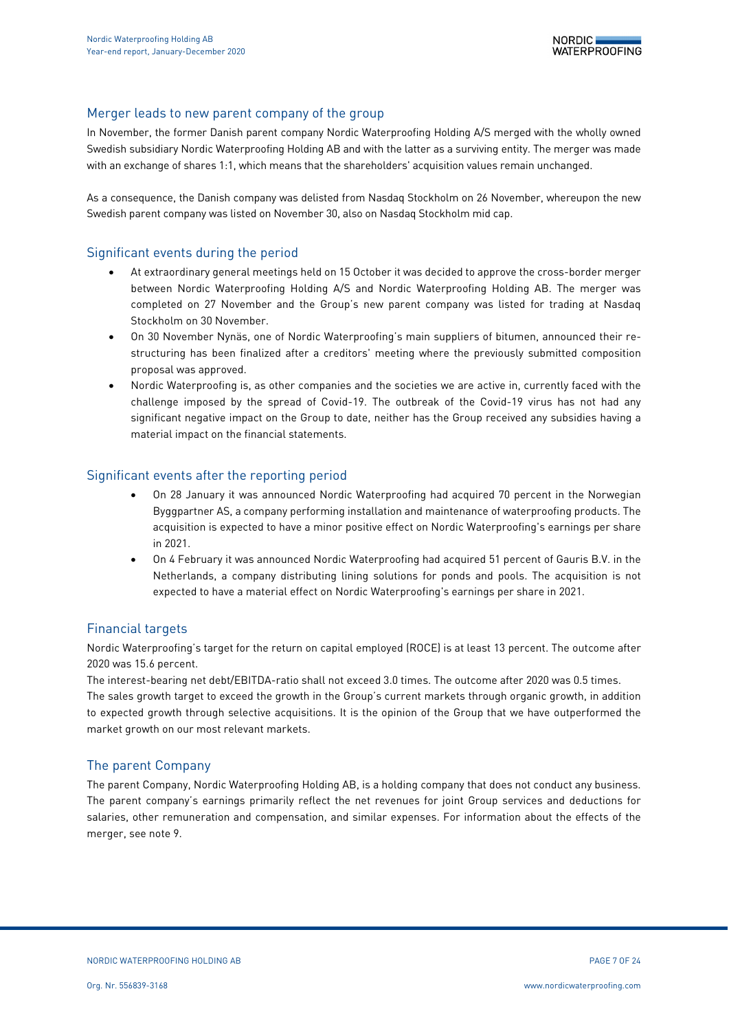## Merger leads to new parent company of the group

In November, the former Danish parent company Nordic Waterproofing Holding A/S merged with the wholly owned Swedish subsidiary Nordic Waterproofing Holding AB and with the latter as a surviving entity. The merger was made with an exchange of shares 1:1, which means that the shareholders' acquisition values remain unchanged.

As a consequence, the Danish company was delisted from Nasdaq Stockholm on 26 November, whereupon the new Swedish parent company was listed on November 30, also on Nasdaq Stockholm mid cap.

## Significant events during the period

- At extraordinary general meetings held on 15 October it was decided to approve the cross-border merger between Nordic Waterproofing Holding A/S and Nordic Waterproofing Holding AB. The merger was completed on 27 November and the Group's new parent company was listed for trading at Nasdaq Stockholm on 30 November.
- On 30 November Nynäs, one of Nordic Waterproofing's main suppliers of bitumen, announced their restructuring has been finalized after a creditors' meeting where the previously submitted composition proposal was approved.
- Nordic Waterproofing is, as other companies and the societies we are active in, currently faced with the challenge imposed by the spread of Covid-19. The outbreak of the Covid-19 virus has not had any significant negative impact on the Group to date, neither has the Group received any subsidies having a material impact on the financial statements.

## Significant events after the reporting period

- On 28 January it was announced Nordic Waterproofing had acquired 70 percent in the Norwegian Byggpartner AS, a company performing installation and maintenance of waterproofing products. The acquisition is expected to have a minor positive effect on Nordic Waterproofing's earnings per share in 2021.
- On 4 February it was announced Nordic Waterproofing had acquired 51 percent of Gauris B.V. in the Netherlands, a company distributing lining solutions for ponds and pools. The acquisition is not expected to have a material effect on Nordic Waterproofing's earnings per share in 2021.

### Financial targets

Nordic Waterproofing's target for the return on capital employed (ROCE) is at least 13 percent. The outcome after 2020 was 15.6 percent.

The interest-bearing net debt/EBITDA-ratio shall not exceed 3.0 times. The outcome after 2020 was 0.5 times. The sales growth target to exceed the growth in the Group's current markets through organic growth, in addition to expected growth through selective acquisitions. It is the opinion of the Group that we have outperformed the market growth on our most relevant markets.

### The parent Company

The parent Company, Nordic Waterproofing Holding AB, is a holding company that does not conduct any business. The parent company's earnings primarily reflect the net revenues for joint Group services and deductions for salaries, other remuneration and compensation, and similar expenses. For information about the effects of the merger, see note 9.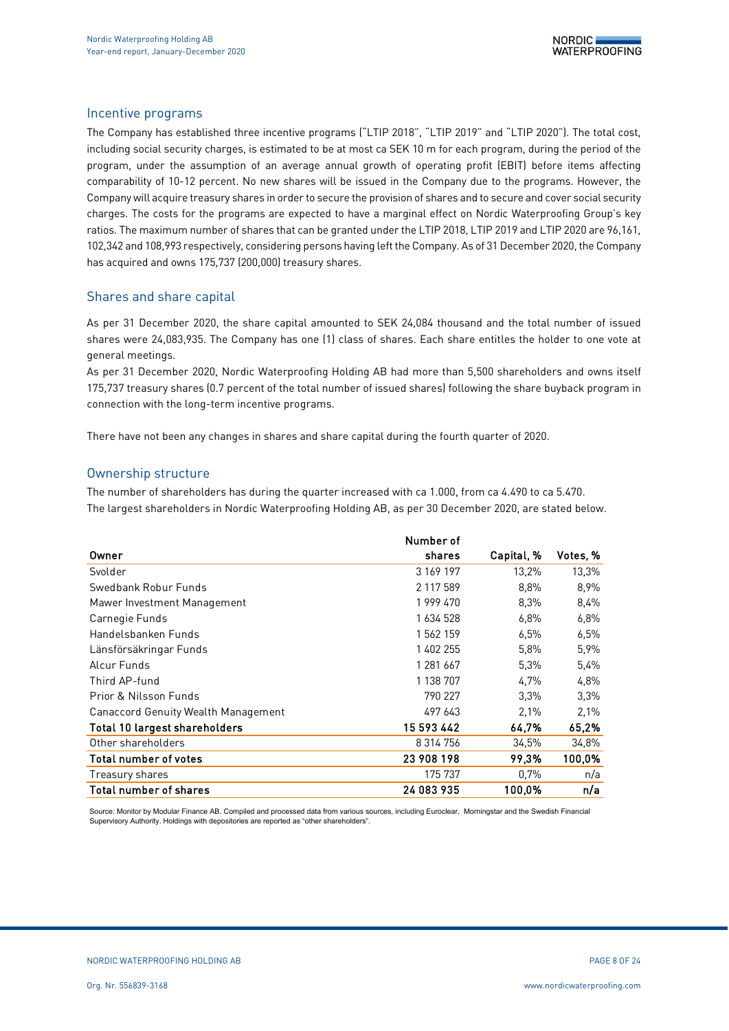### Incentive programs

The Company has established three incentive programs ("LTIP 2018", "LTIP 2019" and "LTIP 2020"). The total cost, including social security charges, is estimated to be at most ca SEK 10 m for each program, during the period of the program, under the assumption of an average annual growth of operating profit (EBIT) before items affecting comparability of 10-12 percent. No new shares will be issued in the Company due to the programs. However, the Company will acquire treasury shares in order to secure the provision of shares and to secure and cover social security charges. The costs for the programs are expected to have a marginal effect on Nordic Waterproofing Group's key ratios. The maximum number of shares that can be granted under the LTIP 2018, LTIP 2019 and LTIP 2020 are 96,161, 102,342 and 108,993 respectively, considering persons having left the Company. As of 31 December 2020, the Company has acquired and owns 175,737 (200,000) treasury shares.

### Shares and share capital

As per 31 December 2020, the share capital amounted to SEK 24,084 thousand and the total number of issued shares were 24,083,935. The Company has one (1) class of shares. Each share entitles the holder to one vote at general meetings.

As per 31 December 2020, Nordic Waterproofing Holding AB had more than 5,500 shareholders and owns itself 175,737 treasury shares (0.7 percent of the total number of issued shares) following the share buyback program in connection with the long-term incentive programs.

There have not been any changes in shares and share capital during the fourth quarter of 2020.

### Ownership structure

The number of shareholders has during the quarter increased with ca 1.000, from ca 4.490 to ca 5.470. The largest shareholders in Nordic Waterproofing Holding AB, as per 30 December 2020, are stated below.

|                                            | Number of     |            |          |
|--------------------------------------------|---------------|------------|----------|
| Owner                                      | shares        | Capital, % | Votes, % |
| Svolder                                    | 3 169 197     | 13,2%      | 13,3%    |
| Swedbank Robur Funds                       | 2 117 589     | 8,8%       | 8,9%     |
| Mawer Investment Management                | 1 999 470     | 8,3%       | 8.4%     |
| Carnegie Funds                             | 1 634 528     | $6.8\%$    | 6.8%     |
| Handelsbanken Funds                        | 1562159       | 6.5%       | 6,5%     |
| Länsförsäkringar Funds                     | 1 402 255     | 5.8%       | 5.9%     |
| Alcur Funds                                | 1 281 667     | 5.3%       | 5,4%     |
| Third AP-fund                              | 1 138 707     | 4.7%       | 4,8%     |
| Prior & Nilsson Funds                      | 790 227       | $3.3\%$    | 3.3%     |
| <b>Canaccord Genuity Wealth Management</b> | 497 643       | 2.1%       | 2.1%     |
| Total 10 largest shareholders              | 15 593 442    | 64.7%      | 65,2%    |
| Other shareholders                         | 8 3 1 4 7 5 6 | 34.5%      | 34,8%    |
| Total number of votes                      | 23 908 198    | 99.3%      | 100,0%   |
| Treasury shares                            | 175 737       | 0.7%       | n/a      |
| Total number of shares                     | 24 083 935    | 100.0%     | n/a      |

Source: Monitor by Modular Finance AB. Compiled and processed data from various sources, including Euroclear, Morningstar and the Swedish Financial Supervisory Authority. Holdings with depositories are reported as "other shareholders".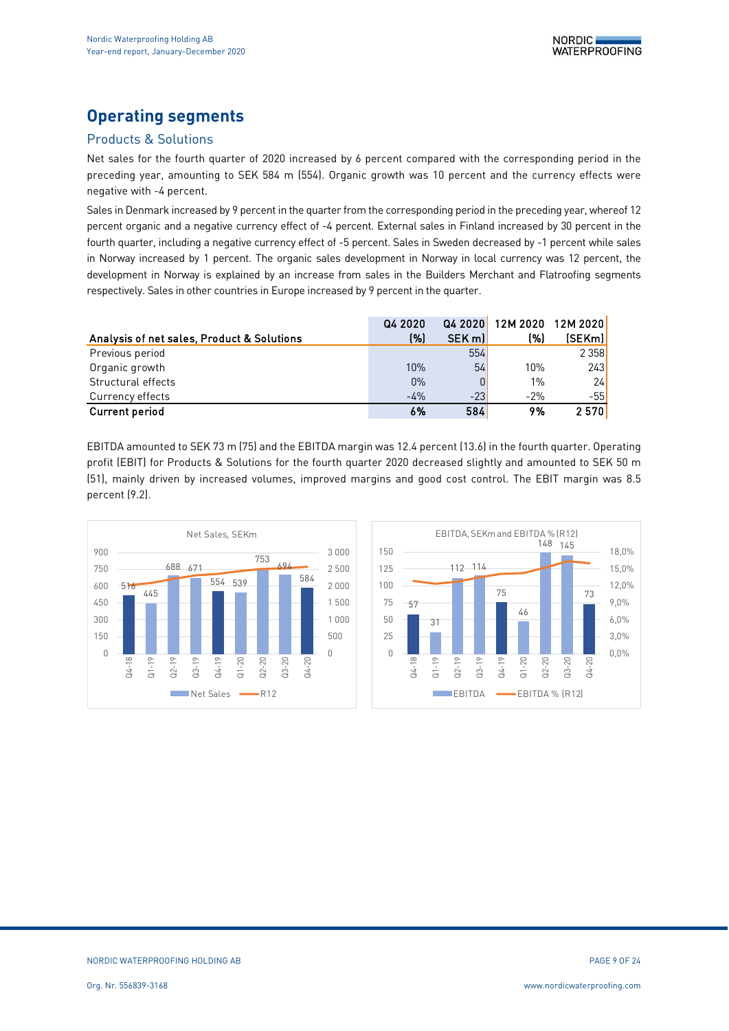# **Operating segments**

## Products & Solutions

Net sales for the fourth quarter of 2020 increased by 6 percent compared with the corresponding period in the preceding year, amounting to SEK 584 m (554). Organic growth was 10 percent and the currency effects were negative with -4 percent.

Sales in Denmark increased by 9 percent in the quarter from the corresponding period in the preceding year, whereof 12 percent organic and a negative currency effect of -4 percent. External sales in Finland increased by 30 percent in the fourth quarter, including a negative currency effect of -5 percent. Sales in Sweden decreased by -1 percent while sales in Norway increased by 1 percent. The organic sales development in Norway in local currency was 12 percent, the development in Norway is explained by an increase from sales in the Builders Merchant and Flatroofing segments respectively. Sales in other countries in Europe increased by 9 percent in the quarter.

|                                            | Q4 2020 | Q42020 | 12M 2020 | <b>12M 2020</b> |
|--------------------------------------------|---------|--------|----------|-----------------|
| Analysis of net sales, Product & Solutions | (%)     | SEK ml | (%)      | [SEKm]          |
| Previous period                            |         | 554    |          | 2 3 5 8         |
| Organic growth                             | 10%     | 54     | 10%      | 243             |
| Structural effects                         | $0\%$   |        | 1%       | 24              |
| Currency effects                           | $-4%$   | $-23$  | $-2%$    | $-551$          |
| <b>Current period</b>                      | 6%      | 584    | 9%       | 2570            |

EBITDA amounted to SEK 73 m (75) and the EBITDA margin was 12.4 percent (13.6) in the fourth quarter. Operating profit (EBIT) for Products & Solutions for the fourth quarter 2020 decreased slightly and amounted to SEK 50 m (51), mainly driven by increased volumes, improved margins and good cost control. The EBIT margin was 8.5 percent (9.2).



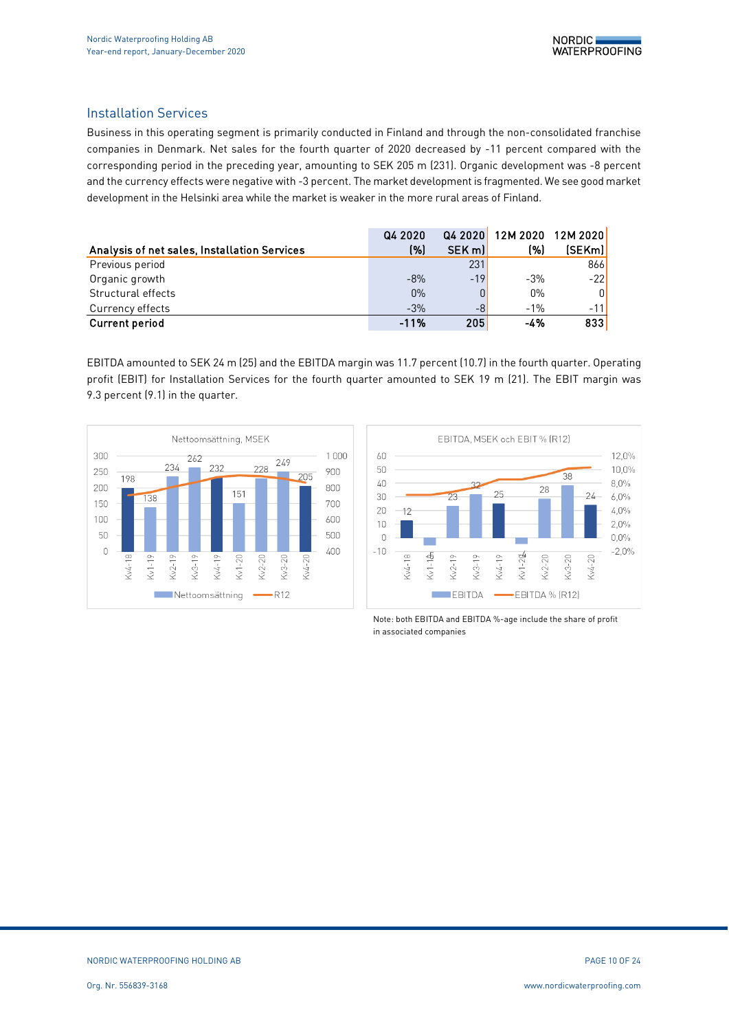## Installation Services

Business in this operating segment is primarily conducted in Finland and through the non-consolidated franchise companies in Denmark. Net sales for the fourth quarter of 2020 decreased by -11 percent compared with the corresponding period in the preceding year, amounting to SEK 205 m (231). Organic development was -8 percent and the currency effects were negative with -3 percent. The market development is fragmented. We see good market development in the Helsinki area while the market is weaker in the more rural areas of Finland.

|                                              | Q4 2020 | Q4 2020 | 12M 2020 | 12M 2020 |
|----------------------------------------------|---------|---------|----------|----------|
| Analysis of net sales, Installation Services | (%)     | SEK m   | (%)      | (SEKm)   |
| Previous period                              |         | 231     |          | 866      |
| Organic growth                               | $-8%$   | $-19$   | $-3%$    | $-22$    |
| Structural effects                           | $0\%$   | 0       | $0\%$    | 0        |
| Currency effects                             | $-3%$   | -8      | $-1%$    | $-11$    |
| <b>Current period</b>                        | $-11%$  | 205     | -4%      | 833      |

EBITDA amounted to SEK 24 m (25) and the EBITDA margin was 11.7 percent (10.7) in the fourth quarter. Operating profit (EBIT) for Installation Services for the fourth quarter amounted to SEK 19 m (21). The EBIT margin was 9.3 percent (9.1) in the quarter.





Note: both EBITDA and EBITDA %-age include the share of profit in associated companies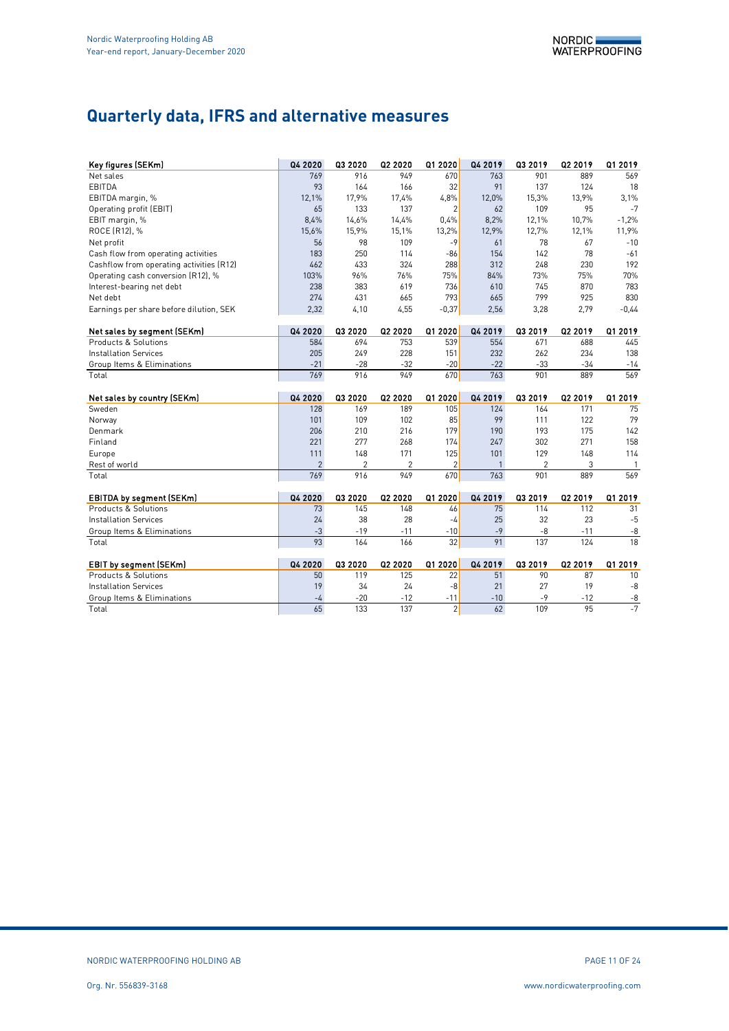# **Quarterly data, IFRS and alternative measures**

| Key figures (SEKm)                       | Q4 2020        | Q3 2020 | Q2 2020        | Q1 2020        | Q4 2019 | Q3 2019        | Q2 2019 | Q1 2019        |
|------------------------------------------|----------------|---------|----------------|----------------|---------|----------------|---------|----------------|
| Net sales                                | 769            | 916     | 949            | 670            | 763     | 901            | 889     | 569            |
| EBITDA                                   | 93             | 164     | 166            | 32             | 91      | 137            | 124     | 18             |
| EBITDA margin, %                         | 12,1%          | 17,9%   | 17,4%          | 4,8%           | 12,0%   | 15,3%          | 13.9%   | 3,1%           |
| Operating profit (EBIT)                  | 65             | 133     | 137            | $\overline{2}$ | 62      | 109            | 95      | $-7$           |
| EBIT margin, %                           | 8,4%           | 14,6%   | 14,4%          | 0.4%           | 8,2%    | 12,1%          | 10,7%   | $-1,2%$        |
| ROCE (R12), %                            | 15,6%          | 15,9%   | 15,1%          | 13,2%          | 12,9%   | 12,7%          | 12,1%   | 11,9%          |
| Net profit                               | 56             | 98      | 109            | $-9$           | 61      | 78             | 67      | $-10$          |
| Cash flow from operating activities      | 183            | 250     | 114            | $-86$          | 154     | 142            | 78      | $-61$          |
| Cashflow from operating activities (R12) | 462            | 433     | 324            | 288            | 312     | 248            | 230     | 192            |
| Operating cash conversion (R12), %       | 103%           | 96%     | 76%            | 75%            | 84%     | 73%            | 75%     | 70%            |
| Interest-bearing net debt                | 238            | 383     | 619            | 736            | 610     | 745            | 870     | 783            |
| Net debt                                 | 274            | 431     | 665            | 793            | 665     | 799            | 925     | 830            |
| Earnings per share before dilution, SEK  | 2,32           | 4,10    | 4,55           | $-0,37$        | 2,56    | 3,28           | 2,79    | $-0.44$        |
|                                          |                |         |                |                |         |                |         |                |
| Net sales by segment (SEKm)              | Q4 2020        | Q3 2020 | Q2 2020        | Q1 2020        | Q4 2019 | Q3 2019        | Q2 2019 | Q1 2019        |
| Products & Solutions                     | 584            | 694     | 753            | 539            | 554     | 671            | 688     | 445            |
| <b>Installation Services</b>             | 205            | 249     | 228            | 151            | 232     | 262            | 234     | 138            |
| Group Items & Eliminations               | $-21$          | $-28$   | $-32$          | $-20$          | $-22$   | $-33$          | $-34$   | $-14$          |
| Total                                    | 769            | 916     | 949            | 670            | 763     | 901            | 889     | 569            |
|                                          |                |         |                |                |         |                |         |                |
|                                          |                |         |                |                |         |                |         |                |
| Net sales by country (SEKm)              | Q4 2020        | Q3 2020 | Q2 2020        | Q1 2020        | Q4 2019 | Q3 2019        | Q2 2019 | Q1 2019        |
| Sweden                                   | 128            | 169     | 189            | 105            | 124     | 164            | 171     | 75             |
| Norway                                   | 101            | 109     | 102            | 85             | 99      | 111            | 122     | 79             |
| Denmark                                  | 206            | 210     | 216            | 179            | 190     | 193            | 175     | 142            |
| Finland                                  | 221            | 277     | 268            | 174            | 247     | 302            | 271     | 158            |
| Europe                                   | 111            | 148     | 171            | 125            | 101     | 129            | 148     | 114            |
| Rest of world                            | $\overline{2}$ | 2       | $\overline{2}$ | $\overline{2}$ | 1       | $\overline{2}$ | 3       | $\overline{1}$ |
| Total                                    | 769            | 916     | 949            | 670            | 763     | 901            | 889     | 569            |
|                                          |                |         |                |                |         |                |         |                |
| <b>EBITDA by segment (SEKm)</b>          | Q4 2020        | Q3 2020 | Q2 2020        | Q1 2020        | Q4 2019 | Q3 2019        | Q2 2019 | Q1 2019        |
| Products & Solutions                     | 73             | 145     | 148            | 46             | 75      | 114            | 112     | 31             |
| <b>Installation Services</b>             | 24             | 38      | 28             | -4             | 25      | 32             | 23      | $-5$           |
| Group Items & Eliminations               | $-3$           | $-19$   | -11            | $-10$          | $-9$    | $-8$           | $-11$   | $-8$           |
| Total                                    | 93             | 164     | 166            | 32             | 91      | 137            | 124     | 18             |
| <b>EBIT by segment (SEKm)</b>            | Q4 2020        | Q3 2020 | Q2 2020        | Q1 2020        | Q4 2019 | Q3 2019        | Q2 2019 | Q1 2019        |
| Products & Solutions                     | 50             | 119     | 125            | 22             | 51      | 90             | 87      | 10             |
| <b>Installation Services</b>             | 19             | 34      | 24             | $-8$           | 21      | 27             | 19      | -8             |
| Group Items & Eliminations               | $-4$           | $-20$   | $-12$          | $-11$          | $-10$   | $-9$           | $-12$   | $-8$<br>$-7$   |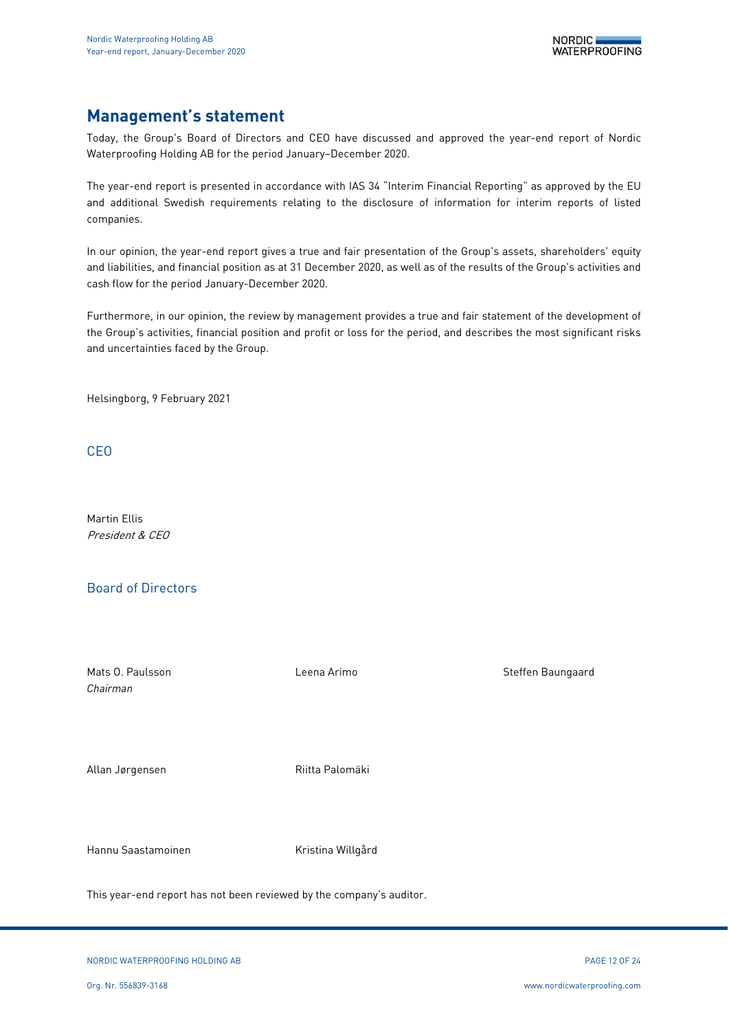# **Management's statement**

Today, the Group's Board of Directors and CEO have discussed and approved the year-end report of Nordic Waterproofing Holding AB for the period January–December 2020.

The year-end report is presented in accordance with IAS 34 "Interim Financial Reporting" as approved by the EU and additional Swedish requirements relating to the disclosure of information for interim reports of listed companies.

In our opinion, the year-end report gives a true and fair presentation of the Group's assets, shareholders' equity and liabilities, and financial position as at 31 December 2020, as well as of the results of the Group's activities and cash flow for the period January-December 2020.

Furthermore, in our opinion, the review by management provides a true and fair statement of the development of the Group's activities, financial position and profit or loss for the period, and describes the most significant risks and uncertainties faced by the Group.

Helsingborg, 9 February 2021

CEO

Martin Ellis President & CEO

## Board of Directors

Mats O. Paulsson **Nats Communist Communist Communist Communist Communist Communist Communist Communist Communist Communist Communist Communist Communist Communist Communist Communist Communist Communist Communist Communist** *Chairman* Allan Jørgensen Maria Palomäki Hannu Saastamoinen Kristina Willgård

This year-end report has not been reviewed by the company's auditor.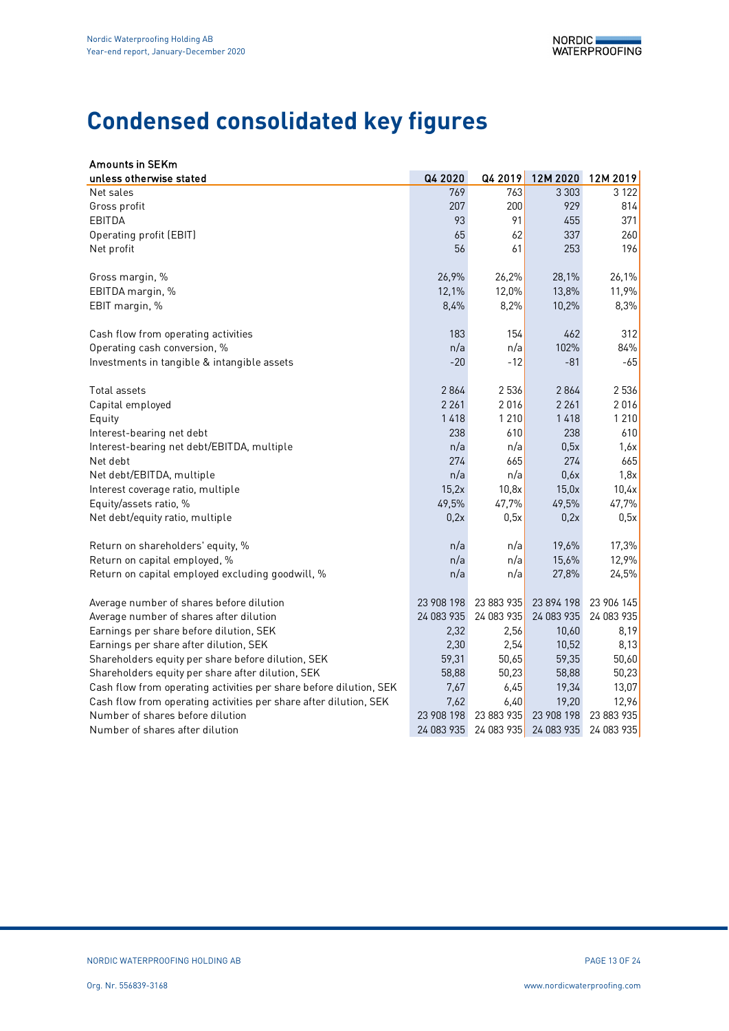# **Condensed consolidated key figures**

| <b>Amounts in SEKm</b>                                             |            |            |            |            |
|--------------------------------------------------------------------|------------|------------|------------|------------|
| unless otherwise stated                                            | Q4 2020    | Q4 2019    | 12M 2020   | 12M 2019   |
| Net sales                                                          | 769        | 763        | 3 3 0 3    | 3 1 2 2    |
| Gross profit                                                       | 207        | 200        | 929        | 814        |
| EBITDA                                                             | 93         | 91         | 455        | 371        |
| Operating profit (EBIT)                                            | 65         | 62         | 337        | 260        |
| Net profit                                                         | 56         | 61         | 253        | 196        |
| Gross margin, %                                                    | 26,9%      | 26,2%      | 28,1%      | 26,1%      |
| EBITDA margin, %                                                   | 12,1%      | 12,0%      | 13,8%      | 11,9%      |
| EBIT margin, %                                                     | 8,4%       | 8,2%       | 10,2%      | 8,3%       |
| Cash flow from operating activities                                | 183        | 154        | 462        | 312        |
| Operating cash conversion, %                                       | n/a        | n/a        | 102%       | 84%        |
| Investments in tangible & intangible assets                        | $-20$      | $-12$      | $-81$      | -65        |
| Total assets                                                       | 2864       | 2 5 3 6    | 2864       | 2536       |
| Capital employed                                                   | 2 2 6 1    | 2016       | 2 2 6 1    | 2016       |
| Equity                                                             | 1418       | 1210       | 1418       | 1 2 1 0    |
| Interest-bearing net debt                                          | 238        | 610        | 238        | 610        |
| Interest-bearing net debt/EBITDA, multiple                         | n/a        | n/a        | 0,5x       | 1,6x       |
| Net debt                                                           | 274        | 665        | 274        | 665        |
| Net debt/EBITDA, multiple                                          | n/a        | n/a        | 0,6x       | 1,8x       |
| Interest coverage ratio, multiple                                  | 15,2x      | 10,8x      | 15,0x      | 10,4x      |
| Equity/assets ratio, %                                             | 49,5%      | 47,7%      | 49,5%      | 47,7%      |
| Net debt/equity ratio, multiple                                    | 0,2x       | 0,5x       | 0,2x       | 0,5x       |
| Return on shareholders' equity, %                                  | n/a        | n/a        | 19,6%      | 17,3%      |
| Return on capital employed, %                                      | n/a        | n/a        | 15,6%      | 12,9%      |
| Return on capital employed excluding goodwill, %                   | n/a        | n/a        | 27,8%      | 24,5%      |
| Average number of shares before dilution                           | 23 908 198 | 23 883 935 | 23 894 198 | 23 906 145 |
| Average number of shares after dilution                            | 24 083 935 | 24 083 935 | 24 083 935 | 24 083 935 |
| Earnings per share before dilution, SEK                            | 2,32       | 2,56       | 10,60      | 8,19       |
| Earnings per share after dilution, SEK                             | 2,30       | 2,54       | 10,52      | 8,13       |
| Shareholders equity per share before dilution, SEK                 | 59,31      | 50,65      | 59,35      | 50,60      |
| Shareholders equity per share after dilution, SEK                  | 58,88      | 50,23      | 58,88      | 50,23      |
| Cash flow from operating activities per share before dilution, SEK | 7,67       | 6,45       | 19,34      | 13,07      |
| Cash flow from operating activities per share after dilution, SEK  | 7,62       | 6,40       | 19,20      | 12,96      |
| Number of shares before dilution                                   | 23 908 198 | 23 883 935 | 23 908 198 | 23 883 935 |
| Number of shares after dilution                                    | 24 083 935 | 24 083 935 | 24 083 935 | 24 083 935 |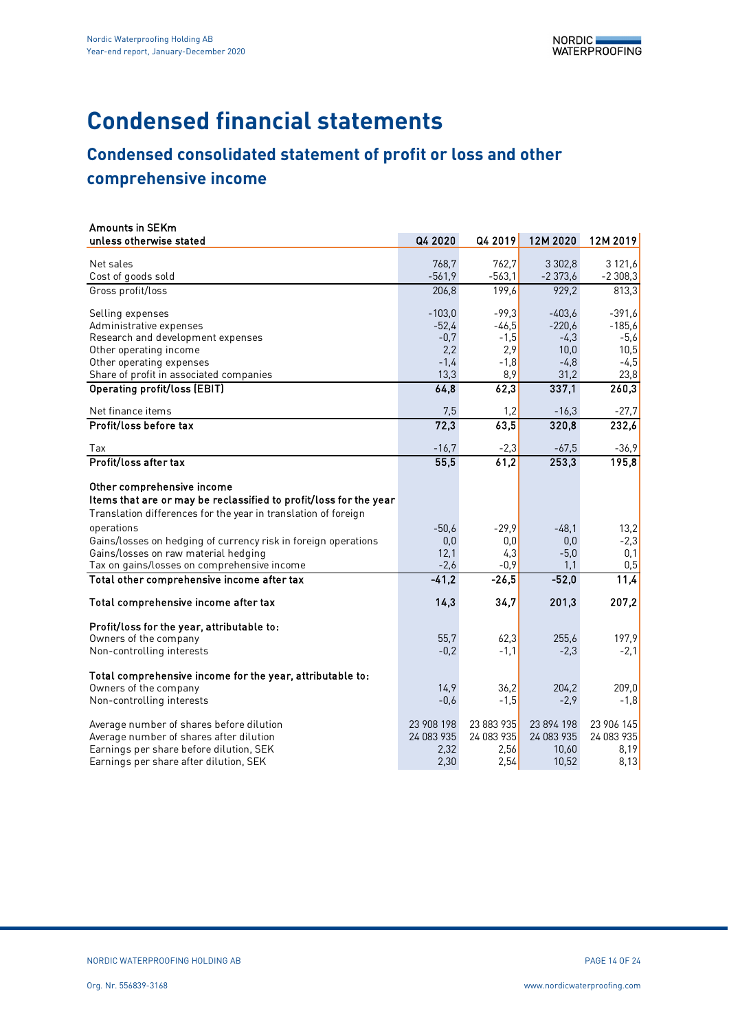# **Condensed financial statements**

# **Condensed consolidated statement of profit or loss and other**

# **comprehensive income**

| <b>Amounts in SEKm</b>                                                             |            |            |            |            |
|------------------------------------------------------------------------------------|------------|------------|------------|------------|
| unless otherwise stated                                                            | Q4 2020    | Q4 2019    | 12M 2020   | 12M 2019   |
| Net sales                                                                          | 768,7      | 762,7      | 3 3 0 2,8  | 3 121,6    |
| Cost of goods sold                                                                 | $-561,9$   | $-563,1$   | $-2373,6$  | $-2308,3$  |
| Gross profit/loss                                                                  | 206,8      | 199,6      | 929,2      | 813,3      |
|                                                                                    |            |            |            |            |
| Selling expenses                                                                   | $-103,0$   | $-99,3$    | $-403,6$   | $-391,6$   |
| Administrative expenses                                                            | $-52,4$    | $-46,5$    | $-220,6$   | $-185,6$   |
| Research and development expenses                                                  | $-0,7$     | $-1,5$     | $-4,3$     | $-5,6$     |
| Other operating income                                                             | 2,2        | 2,9        | 10,0       | 10,5       |
| Other operating expenses                                                           | $-1,4$     | $-1,8$     | $-4,8$     | $-4,5$     |
| Share of profit in associated companies                                            | 13,3       | 8,9        | 31,2       | 23,8       |
| <b>Operating profit/loss (EBIT)</b>                                                | 64,8       | 62,3       | 337,1      | 260,3      |
| Net finance items                                                                  | 7,5        | 1,2        | $-16,3$    | $-27,7$    |
| Profit/loss before tax                                                             | 72,3       | 63.5       | 320,8      | 232,6      |
| Tax                                                                                | $-16,7$    | $-2,3$     | $-67,5$    | $-36,9$    |
| Profit/loss after tax                                                              | 55,5       | 61.2       | 253,3      | 195,8      |
| Other comprehensive income                                                         |            |            |            |            |
| Items that are or may be reclassified to profit/loss for the year                  |            |            |            |            |
| Translation differences for the year in translation of foreign                     |            |            |            |            |
| operations                                                                         | $-50,6$    | $-29,9$    | $-48.1$    | 13,2       |
| Gains/losses on hedging of currency risk in foreign operations                     | 0,0        | 0,0        | 0,0        | $-2,3$     |
| Gains/losses on raw material hedging                                               | 12,1       | 4,3        | $-5,0$     | 0,1        |
| Tax on gains/losses on comprehensive income                                        | $-2,6$     | $-0.9$     | 1,1        | 0,5        |
| Total other comprehensive income after tax                                         | $-41,2$    | $-26,5$    | $-52,0$    | 11,4       |
|                                                                                    |            |            |            |            |
| Total comprehensive income after tax                                               | 14,3       | 34,7       | 201,3      | 207,2      |
| Profit/loss for the year, attributable to:                                         |            |            |            |            |
| Owners of the company                                                              | 55,7       | 62,3       | 255,6      | 197,9      |
| Non-controlling interests                                                          | $-0.2$     | $-1,1$     | $-2,3$     | $-2,1$     |
|                                                                                    |            |            |            |            |
| Total comprehensive income for the year, attributable to:<br>Owners of the company | 14,9       | 36.2       | 204,2      | 209,0      |
| Non-controlling interests                                                          | $-0,6$     | $-1,5$     | $-2,9$     | $-1,8$     |
|                                                                                    |            |            |            |            |
| Average number of shares before dilution                                           | 23 908 198 | 23 883 935 | 23 894 198 | 23 906 145 |
| Average number of shares after dilution                                            | 24 083 935 | 24 083 935 | 24 083 935 | 24 083 935 |
| Earnings per share before dilution, SEK                                            | 2,32       | 2,56       | 10,60      | 8,19       |
| Earnings per share after dilution, SEK                                             | 2,30       | 2,54       | 10,52      | 8,13       |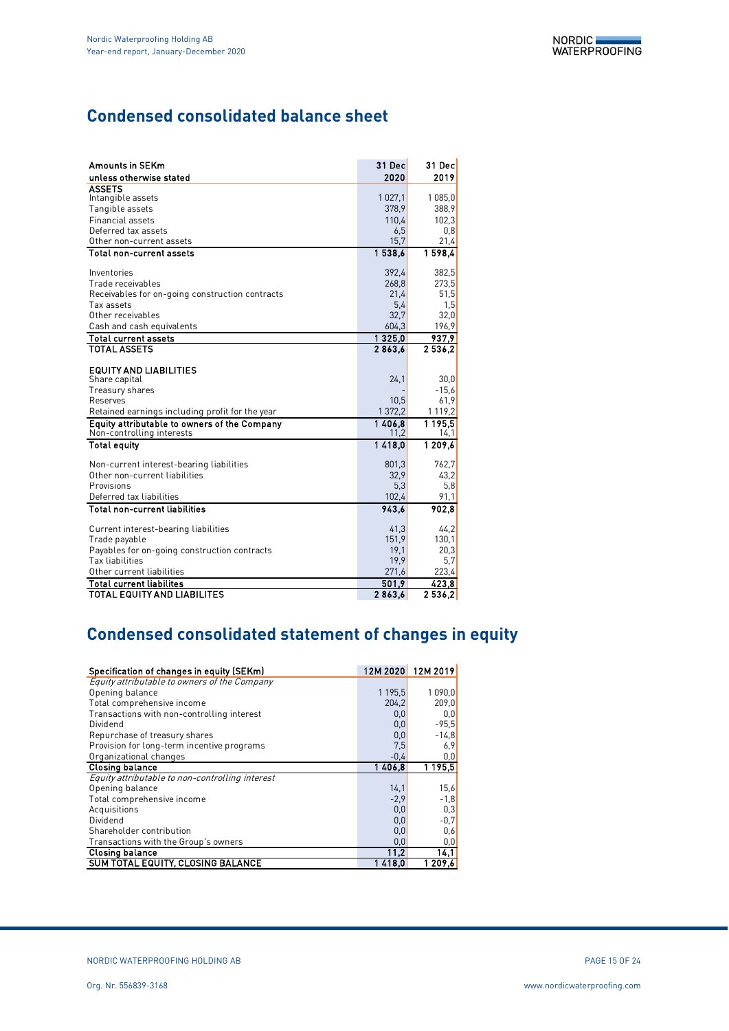# **Condensed consolidated balance sheet**

| <b>Amounts in SEKm</b>                          | 31 Decl   | 31 Dec  |
|-------------------------------------------------|-----------|---------|
| unless otherwise stated                         | 2020      | 2019    |
| <b>ASSETS</b>                                   |           |         |
| Intangible assets                               | 1 0 2 7 1 | 1 085,0 |
| Tangible assets                                 | 378.9     | 388,9   |
| <b>Financial assets</b>                         | 110,4     | 102,3   |
| Deferred tax assets                             | 6,5       | 0,8     |
| Other non-current assets                        | 15,7      | 21,4    |
| <b>Total non-current assets</b>                 | 1538.6    | 1598.4  |
| Inventories                                     | 392,4     | 382,5   |
| Trade receivables                               | 268,8     | 273,5   |
| Receivables for on-going construction contracts | 21,4      | 51,5    |
| Tax assets                                      | 5.4       | 1,5     |
| Other receivables                               | 32,7      | 32,0    |
| Cash and cash equivalents                       | 604,3     | 196,9   |
| <b>Total current assets</b>                     | 1325.0    | 937.9   |
| <b>TOTAL ASSETS</b>                             | 2863.6    | 2536.2  |
|                                                 |           |         |
| <b>EQUITY AND LIABILITIES</b><br>Share capital  | 24,1      | 30,0    |
| Treasury shares                                 |           | $-15,6$ |
| Reserves                                        | 10,5      | 61,9    |
| Retained earnings including profit for the year | 1 372,2   | 1 119,2 |
| Equity attributable to owners of the Company    | 1406.8    | 1195.5  |
| Non-controlling interests                       | 11,2      | 14,1    |
| <b>Total equity</b>                             | 1418.0    | 1 209,6 |
| Non-current interest-bearing liabilities        | 801,3     | 762,7   |
| Other non-current liabilities                   | 32,9      | 43,2    |
| Provisions                                      | 5,3       | 5,8     |
| Deferred tax liabilities                        | 102,4     | 91,1    |
| <b>Total non-current liabilities</b>            | 943.6     | 902,8   |
| Current interest-bearing liabilities            | 41,3      | 44,2    |
| Trade payable                                   | 151,9     | 130,1   |
| Payables for on-going construction contracts    | 19,1      | 20,3    |
| <b>Tax liabilities</b>                          | 19,9      | 5,7     |
| Other current liabilities                       | 271,6     | 223,4   |
| <b>Total current liabilites</b>                 | 501.9     | 423.8   |
| <b>TOTAL EQUITY AND LIABILITES</b>              | 2863,6    | 2536.2  |

# **Condensed consolidated statement of changes in equity**

| Specification of changes in equity (SEKm)       |         | 12M 2020 12M 2019 |
|-------------------------------------------------|---------|-------------------|
| Equity attributable to owners of the Company    |         |                   |
| Opening balance                                 | 1 195,5 | 1090,0            |
| Total comprehensive income                      | 204.2   | 209,0             |
| Transactions with non-controlling interest      | 0,0     | 0,0               |
| Dividend                                        | 0,0     | $-95,5$           |
| Repurchase of treasury shares                   | 0,0     | $-14,8$           |
| Provision for long-term incentive programs      | 7,5     | 6,9               |
| Organizational changes                          | $-0.4$  | 0,0               |
| <b>Closing balance</b>                          | 1406.8  | 1 1 9 5 5         |
| Equity attributable to non-controlling interest |         |                   |
| Opening balance                                 | 14,1    | 15,6              |
| Total comprehensive income                      | $-2,9$  | $-1,8$            |
| Acquisitions                                    | 0,0     | 0,3               |
| Dividend                                        | 0,0     | $-0,7$            |
| Shareholder contribution                        | 0,0     | 0,6               |
| Transactions with the Group's owners            | 0,0     | 0,0               |
| <b>Closing balance</b>                          | 11,2    | 14,1              |
| SUM TOTAL EQUITY, CLOSING BALANCE               | 1 418 0 | 1 209.6           |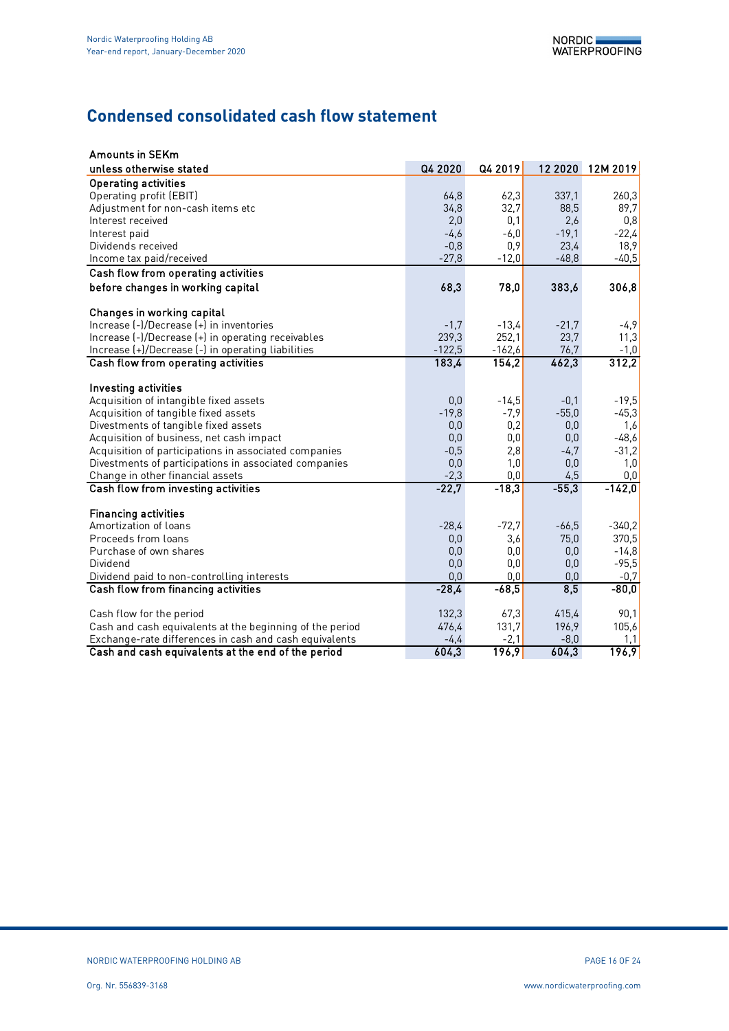# **Condensed consolidated cash flow statement**

| <b>Amounts in SEKm</b>                                   |          |          |          |          |
|----------------------------------------------------------|----------|----------|----------|----------|
| unless otherwise stated                                  | Q4 2020  | Q4 2019  | 12 20 20 | 12M 2019 |
| <b>Operating activities</b>                              |          |          |          |          |
| Operating profit (EBIT)                                  | 64,8     | 62,3     | 337,1    | 260,3    |
| Adjustment for non-cash items etc                        | 34,8     | 32,7     | 88,5     | 89,7     |
| Interest received                                        | 2,0      | 0,1      | 2,6      | 0,8      |
| Interest paid                                            | $-4,6$   | $-6,0$   | $-19,1$  | $-22,4$  |
| Dividends received                                       | $-0,8$   | 0,9      | 23,4     | 18,9     |
| Income tax paid/received                                 | $-27,8$  | $-12,0$  | $-48,8$  | $-40,5$  |
| Cash flow from operating activities                      |          |          |          |          |
| before changes in working capital                        | 68,3     | 78,0     | 383,6    | 306,8    |
| Changes in working capital                               |          |          |          |          |
| Increase (-)/Decrease (+) in inventories                 | $-1,7$   | $-13,4$  | $-21,7$  | $-4,9$   |
| Increase (-)/Decrease (+) in operating receivables       | 239,3    | 252,1    | 23,7     | 11,3     |
| Increase (+)/Decrease (-) in operating liabilities       | $-122,5$ | $-162,6$ | 76,7     | $-1,0$   |
| Cash flow from operating activities                      | 183,4    | 154,2    | 462,3    | 312,2    |
|                                                          |          |          |          |          |
| Investing activities                                     |          |          |          |          |
| Acquisition of intangible fixed assets                   | 0,0      | $-14,5$  | $-0,1$   | $-19,5$  |
| Acquisition of tangible fixed assets                     | $-19,8$  | $-7,9$   | $-55,0$  | $-45,3$  |
| Divestments of tangible fixed assets                     | 0,0      | 0,2      | 0,0      | 1,6      |
| Acquisition of business, net cash impact                 | 0,0      | 0,0      | 0,0      | $-48,6$  |
| Acquisition of participations in associated companies    | $-0,5$   | 2,8      | $-4,7$   | $-31,2$  |
| Divestments of participations in associated companies    | 0,0      | 1,0      | 0,0      | 1,0      |
| Change in other financial assets                         | $-2,3$   | 0,0      | 4,5      | 0,0      |
| Cash flow from investing activities                      | $-22,7$  | $-18,3$  | $-55,3$  | $-142,0$ |
| <b>Financing activities</b>                              |          |          |          |          |
| Amortization of loans                                    | $-28,4$  | $-72,7$  | $-66,5$  | $-340,2$ |
| Proceeds from loans                                      | 0,0      | 3,6      | 75,0     | 370,5    |
| Purchase of own shares                                   | 0,0      | 0,0      | 0,0      | $-14,8$  |
| Dividend                                                 | 0,0      | 0,0      | 0,0      | $-95,5$  |
| Dividend paid to non-controlling interests               | 0,0      | 0,0      | 0,0      | $-0,7$   |
| Cash flow from financing activities                      | $-28,4$  | $-68,5$  | 8,5      | $-80,0$  |
|                                                          |          |          |          |          |
| Cash flow for the period                                 | 132,3    | 67,3     | 415.4    | 90,1     |
| Cash and cash equivalents at the beginning of the period | 476.4    | 131.7    | 196,9    | 105,6    |
| Exchange-rate differences in cash and cash equivalents   | $-4,4$   | $-2,1$   | $-8,0$   | 1,1      |
| Cash and cash equivalents at the end of the period       | 604,3    | 196,9    | 604,3    | 196,9    |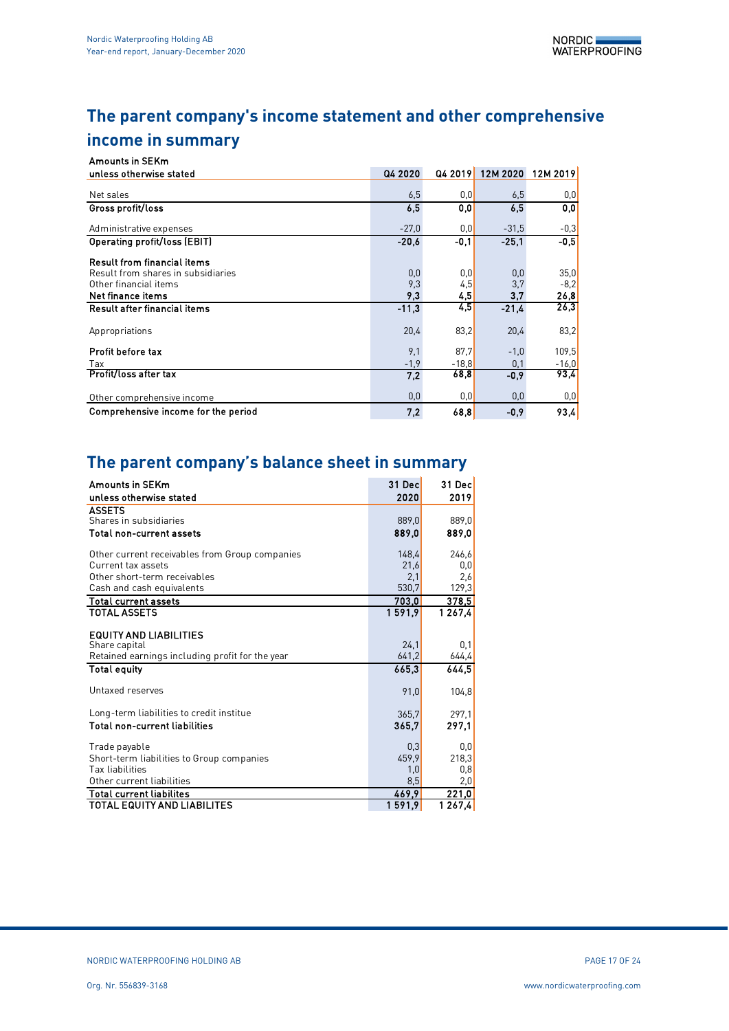# **The parent company's income statement and other comprehensive income in summary**

| <b>Amounts in SEKm</b>              |         |         |                           |         |
|-------------------------------------|---------|---------|---------------------------|---------|
| unless otherwise stated             | Q4 2020 |         | Q4 2019 12M 2020 12M 2019 |         |
|                                     |         |         |                           |         |
| Net sales                           | 6,5     | 0,0     | 6,5                       | 0,0     |
| Gross profit/loss                   | 6.5     | 0.0     | 6.5                       | 0,0     |
| Administrative expenses             | $-27.0$ | 0,0     | $-31,5$                   | $-0,3$  |
| Operating profit/loss (EBIT)        | $-20.6$ | -0.1    | $-25.1$                   | -0.5    |
| <b>Result from financial items</b>  |         |         |                           |         |
| Result from shares in subsidiaries  | 0,0     | 0,0     | 0,0                       | 35,0    |
| Other financial items               | 9,3     | 4,5     | 3,7                       | $-8.2$  |
| Net finance items                   | 9,3     | 4,5     | 3.7                       | 26,8    |
| Result after financial items        | $-11.3$ | 4,5     | $-21.4$                   | 26,3    |
| Appropriations                      | 20,4    | 83,2    | 20,4                      | 83,2    |
| Profit before tax                   | 9,1     | 87.7    | $-1,0$                    | 109,5   |
| Tax                                 | $-1,9$  | $-18.8$ | 0,1                       | $-16,0$ |
| Profit/loss after tax               | 7.2     | 68,8    | $-0,9$                    | 93,4    |
| Other comprehensive income          | 0,0     | 0,0     | 0,0                       | 0,0     |
| Comprehensive income for the period | 7.2     | 68.8    | -0.9                      | 93.4    |

# **The parent company's balance sheet in summary**

| <b>Amounts in SEKm</b>                          | 31 Dec | 31 Decl             |
|-------------------------------------------------|--------|---------------------|
| unless otherwise stated                         | 2020   | 2019                |
| <b>ASSETS</b>                                   |        |                     |
| Shares in subsidiaries                          | 889,0  | 889,0               |
| Total non-current assets                        | 889,0  | 889,0               |
| Other current receivables from Group companies  | 148,4  | 246,6               |
| Current tax assets                              | 21,6   | 0,0                 |
| Other short-term receivables                    | 2,1    | 2,6                 |
| Cash and cash equivalents                       | 530,7  | 129,3               |
| <b>Total current assets</b>                     | 703,0  | <u>378,5</u>        |
| <b>TOTAL ASSETS</b>                             | 1591.9 | 1 2 6 7 4           |
|                                                 |        |                     |
| <b>EQUITY AND LIABILITIES</b>                   |        |                     |
| Share capital                                   | 24,1   | 0,1                 |
| Retained earnings including profit for the year | 641,2  | 644, 4              |
| <b>Total equity</b>                             | 665,3  | 644.5               |
| Untaxed reserves                                | 91,0   | 104,8               |
|                                                 |        |                     |
| Long-term liabilities to credit institue        | 365,7  | 297.1               |
| <b>Total non-current liabilities</b>            | 365,7  | 297,1               |
| Trade payable                                   | 0,3    | 0,0                 |
| Short-term liabilities to Group companies       | 459.9  | 218,3               |
| Tax liabilities                                 | 1,0    | 0,8                 |
| Other current liabilities                       | 8,5    | 2,0                 |
| <b>Total current liabilites</b>                 | 469,9  | 221,0               |
| TOTAL EQUITY AND LIABILITES                     | 1591,9 | $\overline{1267,4}$ |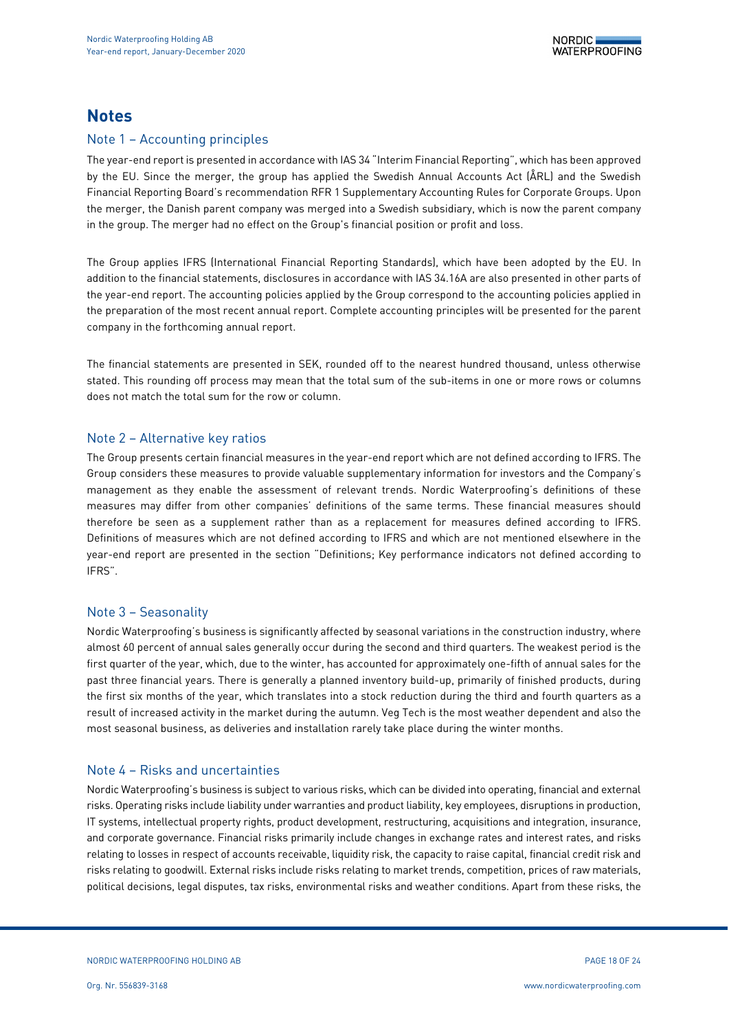# **Notes**

## Note 1 – Accounting principles

The year-end report is presented in accordance with IAS 34 "Interim Financial Reporting", which has been approved by the EU. Since the merger, the group has applied the Swedish Annual Accounts Act (ÅRL) and the Swedish Financial Reporting Board's recommendation RFR 1 Supplementary Accounting Rules for Corporate Groups. Upon the merger, the Danish parent company was merged into a Swedish subsidiary, which is now the parent company in the group. The merger had no effect on the Group's financial position or profit and loss.

The Group applies IFRS (International Financial Reporting Standards), which have been adopted by the EU. In addition to the financial statements, disclosures in accordance with IAS 34.16A are also presented in other parts of the year-end report. The accounting policies applied by the Group correspond to the accounting policies applied in the preparation of the most recent annual report. Complete accounting principles will be presented for the parent company in the forthcoming annual report.

The financial statements are presented in SEK, rounded off to the nearest hundred thousand, unless otherwise stated. This rounding off process may mean that the total sum of the sub-items in one or more rows or columns does not match the total sum for the row or column.

## Note 2 – Alternative key ratios

The Group presents certain financial measures in the year-end report which are not defined according to IFRS. The Group considers these measures to provide valuable supplementary information for investors and the Company's management as they enable the assessment of relevant trends. Nordic Waterproofing's definitions of these measures may differ from other companies' definitions of the same terms. These financial measures should therefore be seen as a supplement rather than as a replacement for measures defined according to IFRS. Definitions of measures which are not defined according to IFRS and which are not mentioned elsewhere in the year-end report are presented in the section "Definitions; Key performance indicators not defined according to IFRS".

### Note 3 – Seasonality

Nordic Waterproofing's business is significantly affected by seasonal variations in the construction industry, where almost 60 percent of annual sales generally occur during the second and third quarters. The weakest period is the first quarter of the year, which, due to the winter, has accounted for approximately one-fifth of annual sales for the past three financial years. There is generally a planned inventory build-up, primarily of finished products, during the first six months of the year, which translates into a stock reduction during the third and fourth quarters as a result of increased activity in the market during the autumn. Veg Tech is the most weather dependent and also the most seasonal business, as deliveries and installation rarely take place during the winter months.

## Note 4 – Risks and uncertainties

Nordic Waterproofing's business is subject to various risks, which can be divided into operating, financial and external risks. Operating risks include liability under warranties and product liability, key employees, disruptions in production, IT systems, intellectual property rights, product development, restructuring, acquisitions and integration, insurance, and corporate governance. Financial risks primarily include changes in exchange rates and interest rates, and risks relating to losses in respect of accounts receivable, liquidity risk, the capacity to raise capital, financial credit risk and risks relating to goodwill. External risks include risks relating to market trends, competition, prices of raw materials, political decisions, legal disputes, tax risks, environmental risks and weather conditions. Apart from these risks, the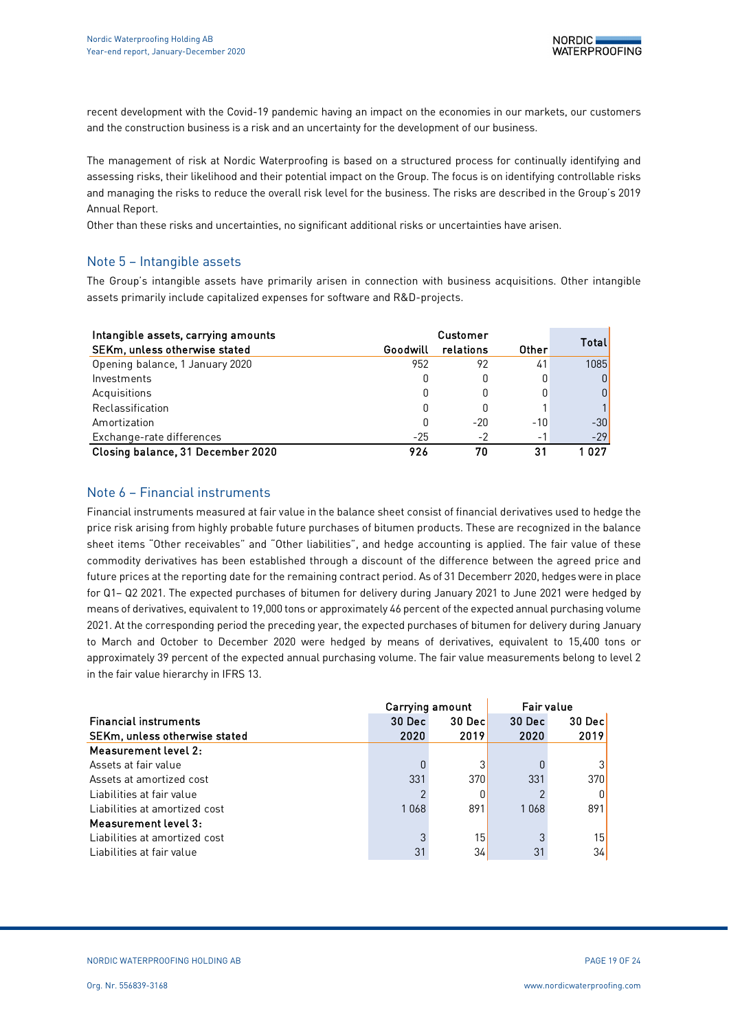recent development with the Covid-19 pandemic having an impact on the economies in our markets, our customers and the construction business is a risk and an uncertainty for the development of our business.

The management of risk at Nordic Waterproofing is based on a structured process for continually identifying and assessing risks, their likelihood and their potential impact on the Group. The focus is on identifying controllable risks and managing the risks to reduce the overall risk level for the business. The risks are described in the Group's 2019 Annual Report.

Other than these risks and uncertainties, no significant additional risks or uncertainties have arisen.

## Note 5 – Intangible assets

The Group's intangible assets have primarily arisen in connection with business acquisitions. Other intangible assets primarily include capitalized expenses for software and R&D-projects.

| Intangible assets, carrying amounts | Customer |           |       |              |
|-------------------------------------|----------|-----------|-------|--------------|
| SEKm, unless otherwise stated       | Goodwill | relations | Other | <b>Total</b> |
| Opening balance, 1 January 2020     | 952      | 92        | 41    | 1085         |
| Investments                         | 0        | 0         | 0     | 0            |
| Acquisitions                        | 0        | 0         |       | 0            |
| Reclassification                    | 0        |           |       |              |
| Amortization                        | 0        | $-20$     | $-10$ | $-30$        |
| Exchange-rate differences           | $-25$    | $-2$      | $-$   | $-29$        |
| Closing balance, 31 December 2020   | 926      | 70        | 31    | በ27          |

## Note 6 – Financial instruments

Financial instruments measured at fair value in the balance sheet consist of financial derivatives used to hedge the price risk arising from highly probable future purchases of bitumen products. These are recognized in the balance sheet items "Other receivables" and "Other liabilities", and hedge accounting is applied. The fair value of these commodity derivatives has been established through a discount of the difference between the agreed price and future prices at the reporting date for the remaining contract period. As of 31 Decemberr 2020, hedges were in place for Q1– Q2 2021. The expected purchases of bitumen for delivery during January 2021 to June 2021 were hedged by means of derivatives, equivalent to 19,000 tons or approximately 46 percent of the expected annual purchasing volume 2021. At the corresponding period the preceding year, the expected purchases of bitumen for delivery during January to March and October to December 2020 were hedged by means of derivatives, equivalent to 15,400 tons or approximately 39 percent of the expected annual purchasing volume. The fair value measurements belong to level 2 in the fair value hierarchy in IFRS 13.

|                               | Carrying amount |                 | <b>Fair value</b> |                 |  |
|-------------------------------|-----------------|-----------------|-------------------|-----------------|--|
| <b>Financial instruments</b>  | 30 Dec          | 30 Decl         | 30 Dec            | 30 Decl         |  |
| SEKm, unless otherwise stated | 2020            | 2019            | 2020              | 2019            |  |
| Measurement level 2:          |                 |                 |                   |                 |  |
| Assets at fair value          |                 |                 |                   |                 |  |
| Assets at amortized cost      | 331             | 370             | 331               | 370             |  |
| Liabilities at fair value     |                 | 0               |                   |                 |  |
| Liabilities at amortized cost | 1068            | 891             | 1068              | 891             |  |
| Measurement level 3:          |                 |                 |                   |                 |  |
| Liabilities at amortized cost | 3               | 15 <sub>1</sub> | c                 | 15 <sup>1</sup> |  |
| Liabilities at fair value     | 31              | 34              | 31                | 34              |  |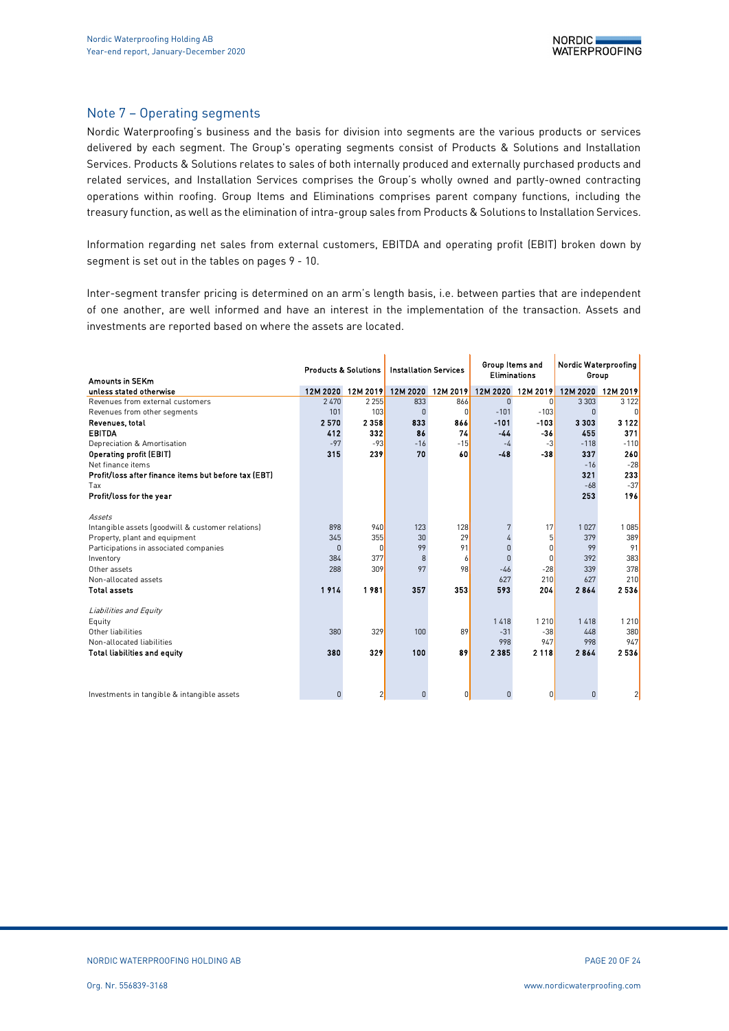#### Note 7 – Operating segments

Nordic Waterproofing's business and the basis for division into segments are the various products or services delivered by each segment. The Group's operating segments consist of Products & Solutions and Installation Services. Products & Solutions relates to sales of both internally produced and externally purchased products and related services, and Installation Services comprises the Group's wholly owned and partly-owned contracting operations within roofing. Group Items and Eliminations comprises parent company functions, including the treasury function, as well as the elimination of intra-group sales from Products & Solutions to Installation Services.

Information regarding net sales from external customers, EBITDA and operating profit (EBIT) broken down by segment is set out in the tables on pages 9 - 10.

Inter-segment transfer pricing is determined on an arm's length basis, i.e. between parties that are independent of one another, are well informed and have an interest in the implementation of the transaction. Assets and investments are reported based on where the assets are located.

|                                                      | <b>Products &amp; Solutions</b> |                | <b>Installation Services</b> |              | Group Items and<br>Eliminations |                   | Nordic Waterproofing<br>Group |          |  |
|------------------------------------------------------|---------------------------------|----------------|------------------------------|--------------|---------------------------------|-------------------|-------------------------------|----------|--|
| Amounts in SEKm                                      |                                 |                |                              |              |                                 |                   |                               |          |  |
| unless stated otherwise                              | 12M 2020                        | 12M 2019       | 12M 2020                     | 12M 2019     |                                 | 12M 2020 12M 2019 | 12M 2020                      | 12M 2019 |  |
| Revenues from external customers                     | 2470                            | 2 2 5 5        | 833                          | 866          | $\Omega$                        | $\overline{0}$    | 3 3 0 3                       | 3 1 2 2  |  |
| Revenues from other segments                         | 101                             | 103            | $\Omega$                     | $\mathbf{0}$ | $-101$                          | $-103$            | $\Omega$                      | $\Omega$ |  |
| Revenues, total                                      | 2570                            | 2358           | 833                          | 866          | $-101$                          | $-103$            | 3303                          | 3122     |  |
| <b>EBITDA</b>                                        | 412                             | 332            | 86                           | 74           | -44                             | -36               | 455                           | 371      |  |
| Depreciation & Amortisation                          | $-97$                           | $-93$          | $-16$                        | $-15$        | $-4$                            | $-3$              | $-118$                        | $-110$   |  |
| Operating profit (EBIT)                              | 315                             | 239            | 70                           | 60           | $-48$                           | $-38$             | 337                           | 260      |  |
| Net finance items                                    |                                 |                |                              |              |                                 |                   | $-16$                         | $-28$    |  |
| Profit/loss after finance items but before tax (EBT) |                                 |                |                              |              |                                 |                   | 321                           | 233      |  |
| Tax                                                  |                                 |                |                              |              |                                 |                   | $-68$                         | $-37$    |  |
| Profit/loss for the year                             |                                 |                |                              |              |                                 |                   | 253                           | 196      |  |
|                                                      |                                 |                |                              |              |                                 |                   |                               |          |  |
| Assets                                               |                                 |                |                              |              |                                 |                   |                               |          |  |
| Intangible assets (goodwill & customer relations)    | 898                             | 940            | 123                          | 128          |                                 | 17                | 1 0 2 7                       | 1085     |  |
| Property, plant and equipment                        | 345                             | 355            | 30                           | 29           | 4                               | 5                 | 379                           | 389      |  |
| Participations in associated companies               | $\Omega$                        | $\Omega$       | 99                           | 91           | $\Omega$                        | 0                 | 99                            | 91       |  |
| Inventory                                            | 384                             | 377            | 8                            | 6            | $\Omega$                        | 0                 | 392                           | 383      |  |
| Other assets                                         | 288                             | 309            | 97                           | 98           | $-46$                           | $-28$             | 339                           | 378      |  |
| Non-allocated assets                                 |                                 |                |                              |              | 627                             | 210               | 627                           | 210      |  |
| <b>Total assets</b>                                  | 1914                            | 1981           | 357                          | 353          | 593                             | 204               | 2864                          | 2536     |  |
|                                                      |                                 |                |                              |              |                                 |                   |                               |          |  |
| Liabilities and Equity                               |                                 |                |                              |              |                                 |                   |                               |          |  |
| Equity                                               |                                 |                |                              |              | 1418                            | 1 2 1 0           | 1418                          | 1 2 1 0  |  |
| Other liabilities                                    | 380                             | 329            | 100                          | 89           | $-31$                           | $-38$             | 448                           | 380      |  |
| Non-allocated liabilities                            |                                 |                |                              |              | 998                             | 947               | 998                           | 947      |  |
| <b>Total liabilities and equity</b>                  | 380                             | 329            | 100                          | 89           | 2 3 8 5                         | 2 1 1 8           | 2864                          | 2536     |  |
|                                                      |                                 |                |                              |              |                                 |                   |                               |          |  |
|                                                      |                                 |                |                              |              |                                 |                   |                               |          |  |
| Investments in tangible & intangible assets          | $\Omega$                        | $\overline{2}$ | $\Omega$                     | 0            | $\Omega$                        | 0                 | 0                             | 2        |  |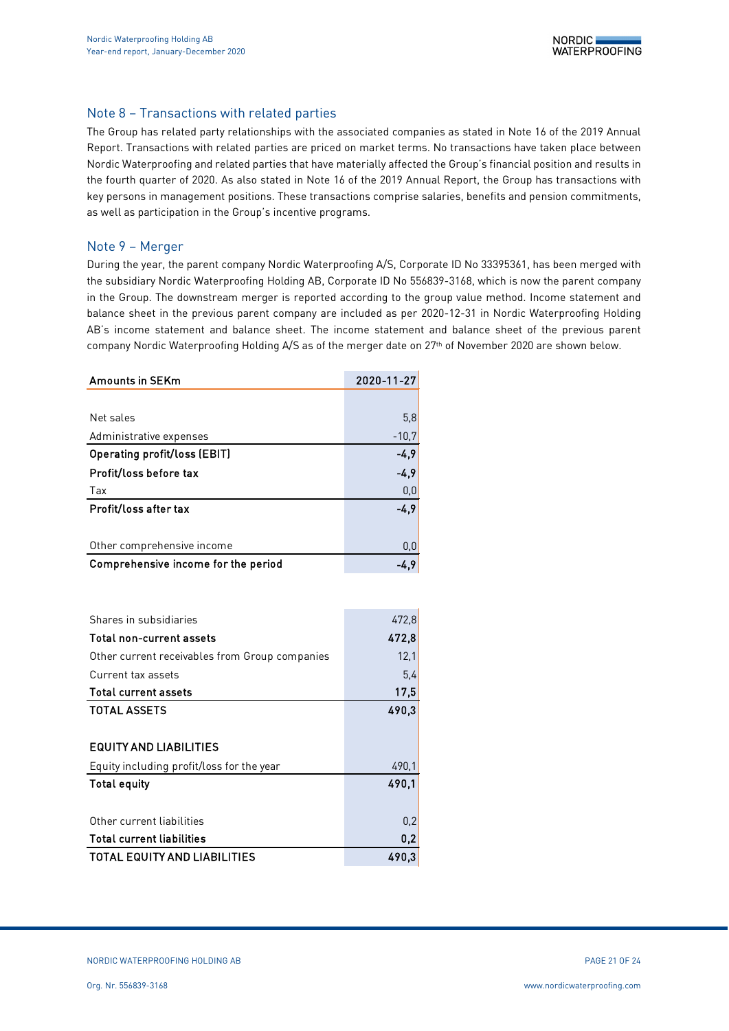### Note 8 – Transactions with related parties

The Group has related party relationships with the associated companies as stated in Note 16 of the 2019 Annual Report. Transactions with related parties are priced on market terms. No transactions have taken place between Nordic Waterproofing and related parties that have materially affected the Group's financial position and results in the fourth quarter of 2020. As also stated in Note 16 of the 2019 Annual Report, the Group has transactions with key persons in management positions. These transactions comprise salaries, benefits and pension commitments, as well as participation in the Group's incentive programs.

#### Note 9 – Merger

During the year, the parent company Nordic Waterproofing A/S, Corporate ID No 33395361, has been merged with the subsidiary Nordic Waterproofing Holding AB, Corporate ID No 556839-3168, which is now the parent company in the Group. The downstream merger is reported according to the group value method. Income statement and balance sheet in the previous parent company are included as per 2020-12-31 in Nordic Waterproofing Holding AB's income statement and balance sheet. The income statement and balance sheet of the previous parent company Nordic Waterproofing Holding A/S as of the merger date on 27<sup>th</sup> of November 2020 are shown below.

| <b>Amounts in SEKm</b>              | 2020-11-27 |
|-------------------------------------|------------|
|                                     |            |
| Net sales                           | 5,8        |
| Administrative expenses             | $-10,7$    |
| <b>Operating profit/loss (EBIT)</b> | $-4,9$     |
| Profit/loss before tax              | $-4,9$     |
| Tax                                 | 0,0        |
| Profit/loss after tax               | $-4,9$     |
|                                     |            |
| Other comprehensive income          | 0,0        |
| Comprehensive income for the period | -4.9       |

| Shares in subsidiaries                         | 472,8 |
|------------------------------------------------|-------|
| Total non-current assets                       | 472,8 |
| Other current receivables from Group companies | 12,1  |
| Current tax assets                             | 5,4   |
| <b>Total current assets</b>                    | 17,5  |
| <b>TOTAL ASSETS</b>                            | 490,3 |
|                                                |       |
| EQUITY AND LIABILITIES                         |       |
| Equity including profit/loss for the year      | 490.1 |
| <b>Total equity</b>                            | 490.1 |
|                                                |       |
| Other current liabilities                      | 0,2   |
| <b>Total current liabilities</b>               | 0,2   |
| <b>TOTAL EQUITY AND LIABILITIES</b>            | 490.3 |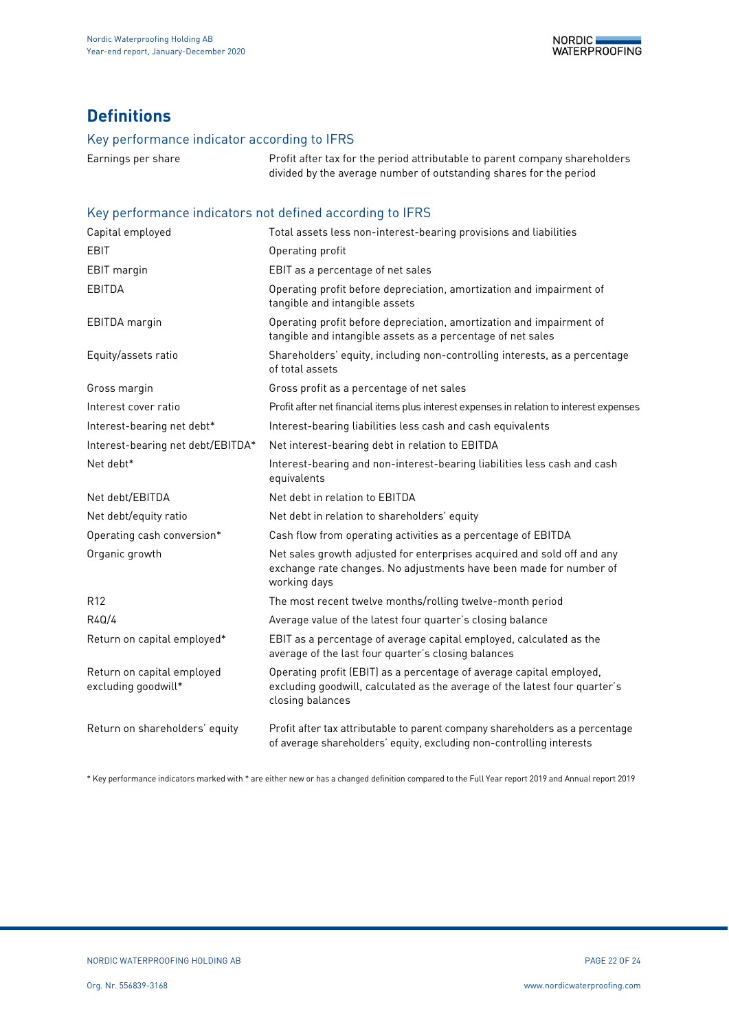# **Definitions**

## Key performance indicator according to IFRS

Earnings per share **Profit after tax for the period attributable to parent company shareholders** divided by the average number of outstanding shares for the period

# Key performance indicators not defined according to IFRS

| Capital employed                                  | Total assets less non-interest-bearing provisions and liabilities                                                                                                      |
|---------------------------------------------------|------------------------------------------------------------------------------------------------------------------------------------------------------------------------|
| EBIT                                              | Operating profit                                                                                                                                                       |
| <b>EBIT</b> margin                                | EBIT as a percentage of net sales                                                                                                                                      |
| EBITDA                                            | Operating profit before depreciation, amortization and impairment of<br>tangible and intangible assets                                                                 |
| EBITDA margin                                     | Operating profit before depreciation, amortization and impairment of<br>tangible and intangible assets as a percentage of net sales                                    |
| Equity/assets ratio                               | Shareholders' equity, including non-controlling interests, as a percentage<br>of total assets                                                                          |
| Gross margin                                      | Gross profit as a percentage of net sales                                                                                                                              |
| Interest cover ratio                              | Profit after net financial items plus interest expenses in relation to interest expenses                                                                               |
| Interest-bearing net debt*                        | Interest-bearing liabilities less cash and cash equivalents                                                                                                            |
| Interest-bearing net debt/EBITDA*                 | Net interest-bearing debt in relation to EBITDA                                                                                                                        |
| Net debt*                                         | Interest-bearing and non-interest-bearing liabilities less cash and cash<br>equivalents                                                                                |
| Net debt/EBITDA                                   | Net debt in relation to EBITDA                                                                                                                                         |
| Net debt/equity ratio                             | Net debt in relation to shareholders' equity                                                                                                                           |
| Operating cash conversion*                        | Cash flow from operating activities as a percentage of EBITDA                                                                                                          |
| Organic growth                                    | Net sales growth adjusted for enterprises acquired and sold off and any<br>exchange rate changes. No adjustments have been made for number of<br>working days          |
| R <sub>12</sub>                                   | The most recent twelve months/rolling twelve-month period                                                                                                              |
| R4Q/4                                             | Average value of the latest four quarter's closing balance                                                                                                             |
| Return on capital employed*                       | EBIT as a percentage of average capital employed, calculated as the<br>average of the last four quarter's closing balances                                             |
| Return on capital employed<br>excluding goodwill* | Operating profit (EBIT) as a percentage of average capital employed,<br>excluding goodwill, calculated as the average of the latest four quarter's<br>closing balances |
| Return on shareholders' equity                    | Profit after tax attributable to parent company shareholders as a percentage<br>of average shareholders' equity, excluding non-controlling interests                   |

\* Key performance indicators marked with \* are either new or has a changed definition compared to the Full Year report 2019 and Annual report 2019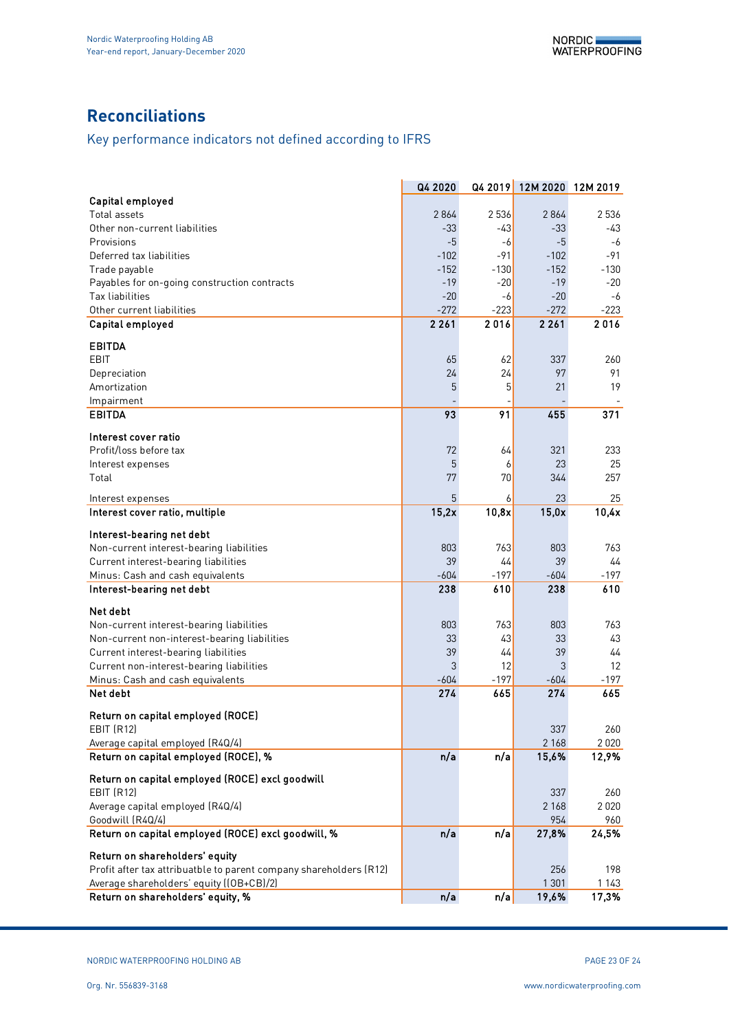# **Reconciliations**

# Key performance indicators not defined according to IFRS

|                                                                    | Q4 2020 | Q4 2019 | 12M 2020 12M 2019 |         |
|--------------------------------------------------------------------|---------|---------|-------------------|---------|
| Capital employed                                                   |         |         |                   |         |
| Total assets                                                       | 2864    | 2 5 3 6 | 2864              | 2536    |
| Other non-current liabilities                                      | $-33$   | -43     | $-33$             | -43     |
| Provisions                                                         | -5      | -6      | $-5$              | -6      |
| Deferred tax liabilities                                           | $-102$  | -91     | $-102$            | -91     |
| Trade payable                                                      | $-152$  | $-130$  | $-152$            | $-130$  |
| Payables for on-going construction contracts                       | $-19$   | $-20$   | $-19$             | -20     |
| Tax liabilities                                                    | $-20$   | -6      | $-20$             | -6      |
| Other current liabilities                                          | $-272$  | $-223$  | $-272$            | $-223$  |
| Capital employed                                                   | 2 2 6 1 | 2016    | 2 2 6 1           | 2016    |
| <b>EBITDA</b>                                                      |         |         |                   |         |
| <b>EBIT</b>                                                        | 65      | 62      | 337               | 260     |
| Depreciation                                                       | 24      | 24      | 97                | 91      |
| Amortization                                                       | 5       | 5       | 21                | 19      |
| Impairment                                                         |         |         |                   |         |
| <b>EBITDA</b>                                                      | 93      | 91      | 455               | 371     |
|                                                                    |         |         |                   |         |
| Interest cover ratio                                               |         |         |                   |         |
| Profit/loss before tax                                             | 72      | 64      | 321               | 233     |
| Interest expenses                                                  | 5       | 6       | 23                | 25      |
| Total                                                              | 77      | 70      | 344               | 257     |
| Interest expenses                                                  | 5       | 6       | 23                | 25      |
| Interest cover ratio, multiple                                     | 15,2x   | 10,8x   | 15,0x             | 10,4x   |
| Interest-bearing net debt                                          |         |         |                   |         |
| Non-current interest-bearing liabilities                           | 803     | 763     | 803               | 763     |
| Current interest-bearing liabilities                               | 39      | 44      | 39                | 44      |
| Minus: Cash and cash equivalents                                   | $-604$  | $-197$  | $-604$            | -197    |
| Interest-bearing net debt                                          | 238     | 610     | 238               | 610     |
| Net debt                                                           |         |         |                   |         |
| Non-current interest-bearing liabilities                           | 803     | 763     | 803               | 763     |
| Non-current non-interest-bearing liabilities                       | 33      | 43      | 33                | 43      |
| Current interest-bearing liabilities                               | 39      | 44      | 39                | 44      |
| Current non-interest-bearing liabilities                           | 3       | 12      | 3                 | 12      |
| Minus: Cash and cash equivalents                                   | $-604$  | $-197$  | $-604$            | -197    |
| Net debt                                                           | 274     | 665     | 274               | 665     |
|                                                                    |         |         |                   |         |
| Return on capital employed (ROCE)                                  |         |         |                   |         |
| <b>EBIT (R12)</b>                                                  |         |         | 337               | 260     |
| Average capital employed (R4Q/4)                                   |         |         | 2 1 6 8           | 2020    |
| Return on capital employed (ROCE), %                               | n/a     | n/a     | 15,6%             | 12,9%   |
| Return on capital employed (ROCE) excl goodwill                    |         |         |                   |         |
| <b>EBIT (R12)</b>                                                  |         |         | 337               | 260     |
| Average capital employed (R4Q/4)                                   |         |         | 2 1 6 8           | 2020    |
| Goodwill (R4Q/4)                                                   |         |         | 954               | 960     |
| Return on capital employed (ROCE) excl goodwill, %                 | n/a     | n/a     | 27,8%             | 24,5%   |
| Return on shareholders' equity                                     |         |         |                   |         |
| Profit after tax attribuatble to parent company shareholders (R12) |         |         | 256               | 198     |
| Average shareholders' equity ((OB+CB)/2)                           |         |         | 1 3 0 1           | 1 1 4 3 |
| Return on shareholders' equity, %                                  | n/a     | n/a     | 19,6%             | 17,3%   |
|                                                                    |         |         |                   |         |